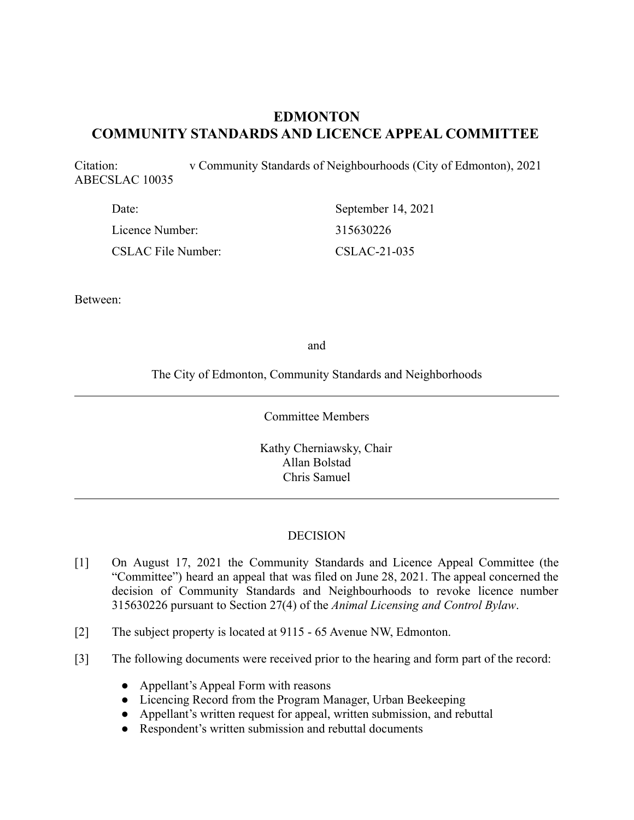# **EDMONTON COMMUNITY STANDARDS AND LICENCE APPEAL COMMITTEE**

Citation: v Community Standards of Neighbourhoods (City of Edmonton), 2021 ABECSLAC 10035

| Date:                     | September 14, 2021 |
|---------------------------|--------------------|
| Licence Number:           | 315630226          |
| <b>CSLAC File Number:</b> | $CSLAC-21-035$     |

Between:

and

The City of Edmonton, Community Standards and Neighborhoods

Committee Members

Kathy Cherniawsky, Chair Allan Bolstad Chris Samuel

### **DECISION**

- [1] On August 17, 2021 the Community Standards and Licence Appeal Committee (the "Committee") heard an appeal that was filed on June 28, 2021. The appeal concerned the decision of Community Standards and Neighbourhoods to revoke licence number 315630226 pursuant to Section 27(4) of the *Animal Licensing and Control Bylaw*.
- [2] The subject property is located at 9115 65 Avenue NW, Edmonton.
- [3] The following documents were received prior to the hearing and form part of the record:
	- Appellant's Appeal Form with reasons
	- Licencing Record from the Program Manager, Urban Beekeeping
	- Appellant's written request for appeal, written submission, and rebuttal
	- Respondent's written submission and rebuttal documents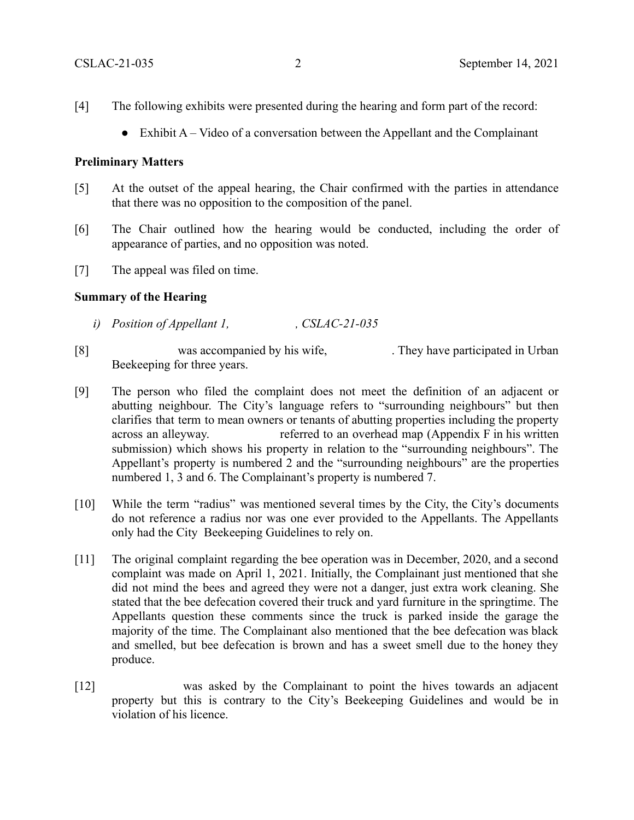- [4] The following exhibits were presented during the hearing and form part of the record:
	- $\bullet$  Exhibit A Video of a conversation between the Appellant and the Complainant

#### **Preliminary Matters**

- [5] At the outset of the appeal hearing, the Chair confirmed with the parties in attendance that there was no opposition to the composition of the panel.
- [6] The Chair outlined how the hearing would be conducted, including the order of appearance of parties, and no opposition was noted.
- [7] The appeal was filed on time.

### **Summary of the Hearing**

- *i)* Position of Appellant 1, , CSLAC-21-035
- [8] was accompanied by his wife, They have participated in Urban Beekeeping for three years.
- [9] The person who filed the complaint does not meet the definition of an adjacent or abutting neighbour. The City's language refers to "surrounding neighbours" but then clarifies that term to mean owners or tenants of abutting properties including the property across an alleyway. referred to an overhead map (Appendix F in his written submission) which shows his property in relation to the "surrounding neighbours". The Appellant's property is numbered 2 and the "surrounding neighbours" are the properties numbered 1, 3 and 6. The Complainant's property is numbered 7.
- [10] While the term "radius" was mentioned several times by the City, the City's documents do not reference a radius nor was one ever provided to the Appellants. The Appellants only had the City Beekeeping Guidelines to rely on.
- [11] The original complaint regarding the bee operation was in December, 2020, and a second complaint was made on April 1, 2021. Initially, the Complainant just mentioned that she did not mind the bees and agreed they were not a danger, just extra work cleaning. She stated that the bee defecation covered their truck and yard furniture in the springtime. The Appellants question these comments since the truck is parked inside the garage the majority of the time. The Complainant also mentioned that the bee defecation was black and smelled, but bee defecation is brown and has a sweet smell due to the honey they produce.
- [12] was asked by the Complainant to point the hives towards an adjacent property but this is contrary to the City's Beekeeping Guidelines and would be in violation of his licence.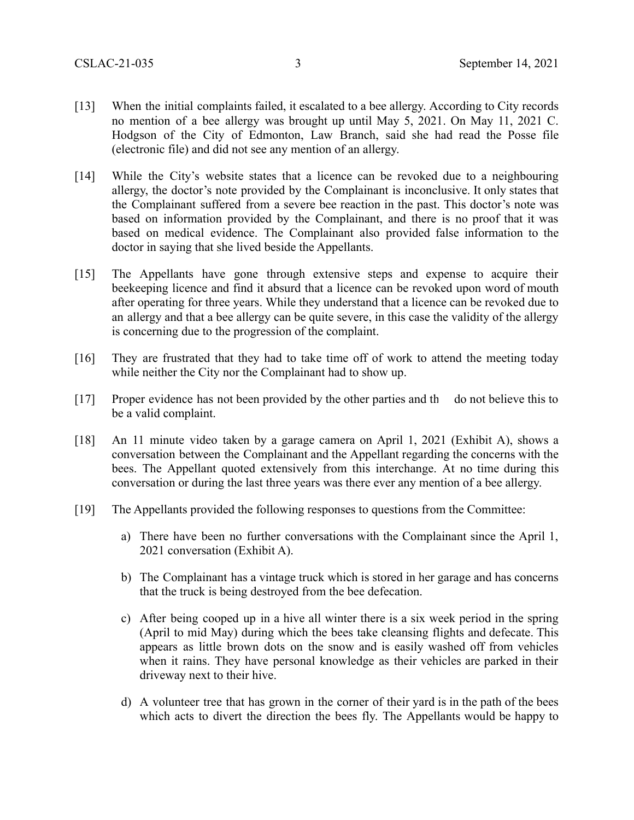- [13] When the initial complaints failed, it escalated to a bee allergy. According to City records no mention of a bee allergy was brought up until May 5, 2021. On May 11, 2021 C. Hodgson of the City of Edmonton, Law Branch, said she had read the Posse file (electronic file) and did not see any mention of an allergy.
- [14] While the City's website states that a licence can be revoked due to a neighbouring allergy, the doctor's note provided by the Complainant is inconclusive. It only states that the Complainant suffered from a severe bee reaction in the past. This doctor's note was based on information provided by the Complainant, and there is no proof that it was based on medical evidence. The Complainant also provided false information to the doctor in saying that she lived beside the Appellants.
- [15] The Appellants have gone through extensive steps and expense to acquire their beekeeping licence and find it absurd that a licence can be revoked upon word of mouth after operating for three years. While they understand that a licence can be revoked due to an allergy and that a bee allergy can be quite severe, in this case the validity of the allergy is concerning due to the progression of the complaint.
- [16] They are frustrated that they had to take time off of work to attend the meeting today while neither the City nor the Complainant had to show up.
- [17] Proper evidence has not been provided by the other parties and th do not believe this to be a valid complaint.
- [18] An 11 minute video taken by a garage camera on April 1, 2021 (Exhibit A), shows a conversation between the Complainant and the Appellant regarding the concerns with the bees. The Appellant quoted extensively from this interchange. At no time during this conversation or during the last three years was there ever any mention of a bee allergy.
- [19] The Appellants provided the following responses to questions from the Committee:
	- a) There have been no further conversations with the Complainant since the April 1, 2021 conversation (Exhibit A).
	- b) The Complainant has a vintage truck which is stored in her garage and has concerns that the truck is being destroyed from the bee defecation.
	- c) After being cooped up in a hive all winter there is a six week period in the spring (April to mid May) during which the bees take cleansing flights and defecate. This appears as little brown dots on the snow and is easily washed off from vehicles when it rains. They have personal knowledge as their vehicles are parked in their driveway next to their hive.
	- d) A volunteer tree that has grown in the corner of their yard is in the path of the bees which acts to divert the direction the bees fly. The Appellants would be happy to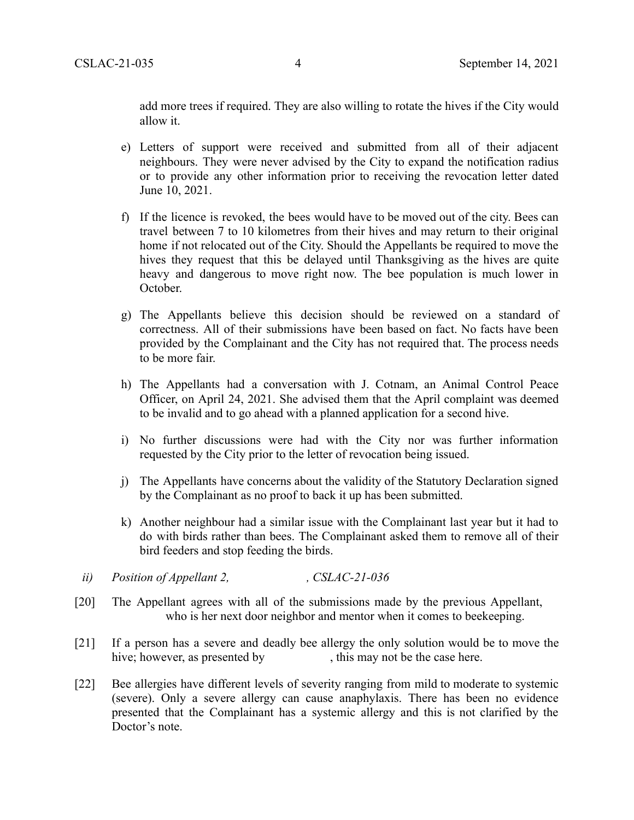add more trees if required. They are also willing to rotate the hives if the City would allow it.

- e) Letters of support were received and submitted from all of their adjacent neighbours. They were never advised by the City to expand the notification radius or to provide any other information prior to receiving the revocation letter dated June 10, 2021.
- f) If the licence is revoked, the bees would have to be moved out of the city. Bees can travel between 7 to 10 kilometres from their hives and may return to their original home if not relocated out of the City. Should the Appellants be required to move the hives they request that this be delayed until Thanksgiving as the hives are quite heavy and dangerous to move right now. The bee population is much lower in October.
- g) The Appellants believe this decision should be reviewed on a standard of correctness. All of their submissions have been based on fact. No facts have been provided by the Complainant and the City has not required that. The process needs to be more fair.
- h) The Appellants had a conversation with J. Cotnam, an Animal Control Peace Officer, on April 24, 2021. She advised them that the April complaint was deemed to be invalid and to go ahead with a planned application for a second hive.
- i) No further discussions were had with the City nor was further information requested by the City prior to the letter of revocation being issued.
- j) The Appellants have concerns about the validity of the Statutory Declaration signed by the Complainant as no proof to back it up has been submitted.
- k) Another neighbour had a similar issue with the Complainant last year but it had to do with birds rather than bees. The Complainant asked them to remove all of their bird feeders and stop feeding the birds.
- *ii*) Position of Appellant 2, CSLAC-21-036
- [20] The Appellant agrees with all of the submissions made by the previous Appellant, who is her next door neighbor and mentor when it comes to beekeeping.
- [21] If a person has a severe and deadly bee allergy the only solution would be to move the hive; however, as presented by , this may not be the case here.
- [22] Bee allergies have different levels of severity ranging from mild to moderate to systemic (severe). Only a severe allergy can cause anaphylaxis. There has been no evidence presented that the Complainant has a systemic allergy and this is not clarified by the Doctor's note.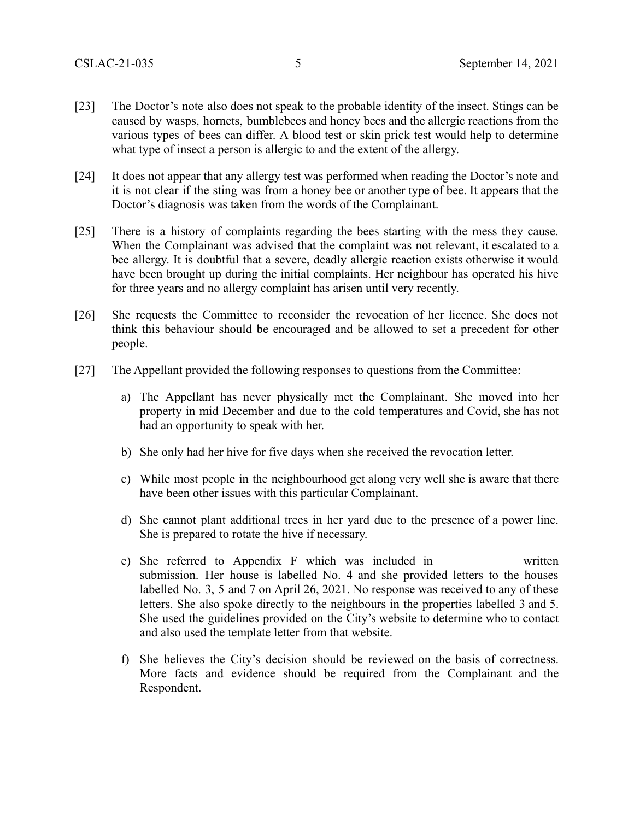- [23] The Doctor's note also does not speak to the probable identity of the insect. Stings can be caused by wasps, hornets, bumblebees and honey bees and the allergic reactions from the various types of bees can differ. A blood test or skin prick test would help to determine what type of insect a person is allergic to and the extent of the allergy.
- [24] It does not appear that any allergy test was performed when reading the Doctor's note and it is not clear if the sting was from a honey bee or another type of bee. It appears that the Doctor's diagnosis was taken from the words of the Complainant.
- [25] There is a history of complaints regarding the bees starting with the mess they cause. When the Complainant was advised that the complaint was not relevant, it escalated to a bee allergy. It is doubtful that a severe, deadly allergic reaction exists otherwise it would have been brought up during the initial complaints. Her neighbour has operated his hive for three years and no allergy complaint has arisen until very recently.
- [26] She requests the Committee to reconsider the revocation of her licence. She does not think this behaviour should be encouraged and be allowed to set a precedent for other people.
- [27] The Appellant provided the following responses to questions from the Committee:
	- a) The Appellant has never physically met the Complainant. She moved into her property in mid December and due to the cold temperatures and Covid, she has not had an opportunity to speak with her.
	- b) She only had her hive for five days when she received the revocation letter.
	- c) While most people in the neighbourhood get along very well she is aware that there have been other issues with this particular Complainant.
	- d) She cannot plant additional trees in her yard due to the presence of a power line. She is prepared to rotate the hive if necessary.
	- e) She referred to Appendix F which was included in written submission. Her house is labelled No. 4 and she provided letters to the houses labelled No. 3, 5 and 7 on April 26, 2021. No response was received to any of these letters. She also spoke directly to the neighbours in the properties labelled 3 and 5. She used the guidelines provided on the City's website to determine who to contact and also used the template letter from that website.
	- f) She believes the City's decision should be reviewed on the basis of correctness. More facts and evidence should be required from the Complainant and the Respondent.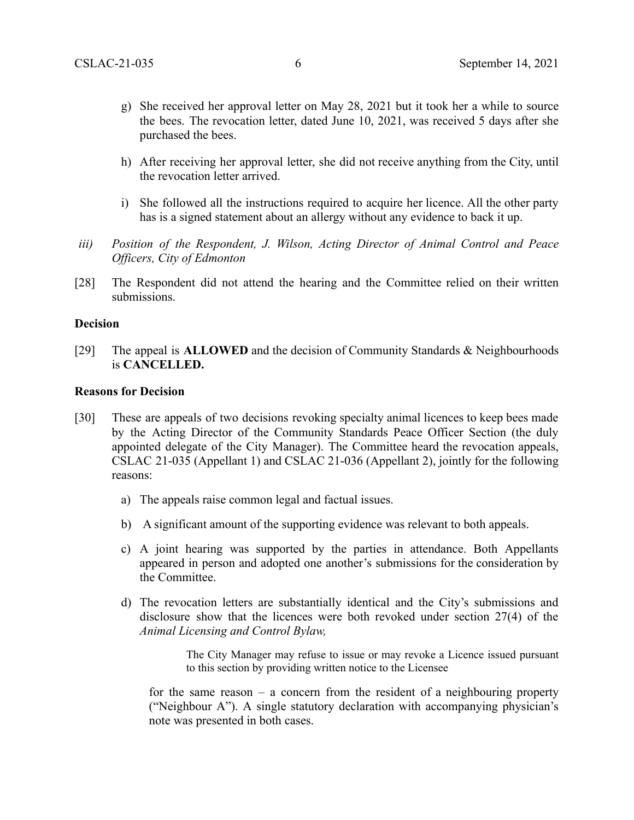- g) She received her approval letter on May 28, 2021 but it took her a while to source the bees. The revocation letter, dated June 10, 2021, was received 5 days after she purchased the bees.
- h) After receiving her approval letter, she did not receive anything from the City, until the revocation letter arrived.
- i) She followed all the instructions required to acquire her licence. All the other party has is a signed statement about an allergy without any evidence to back it up.
- *iii) Position of the Respondent, J. Wilson, Acting Director of Animal Control and Peace Officers, City of Edmonton*
- [28] The Respondent did not attend the hearing and the Committee relied on their written submissions.

#### **Decision**

[29] The appeal is **ALLOWED** and the decision of Community Standards & Neighbourhoods is **CANCELLED.**

#### **Reasons for Decision**

- [30] These are appeals of two decisions revoking specialty animal licences to keep bees made by the Acting Director of the Community Standards Peace Officer Section (the duly appointed delegate of the City Manager). The Committee heard the revocation appeals, CSLAC 21-035 (Appellant 1) and CSLAC 21-036 (Appellant 2), jointly for the following reasons:
	- a) The appeals raise common legal and factual issues.
	- b) A significant amount of the supporting evidence was relevant to both appeals.
	- c) A joint hearing was supported by the parties in attendance. Both Appellants appeared in person and adopted one another's submissions for the consideration by the Committee.
	- d) The revocation letters are substantially identical and the City's submissions and disclosure show that the licences were both revoked under section 27(4) of the *Animal Licensing and Control Bylaw,*

The City Manager may refuse to issue or may revoke a Licence issued pursuant to this section by providing written notice to the Licensee

for the same reason – a concern from the resident of a neighbouring property ("Neighbour A"). A single statutory declaration with accompanying physician's note was presented in both cases.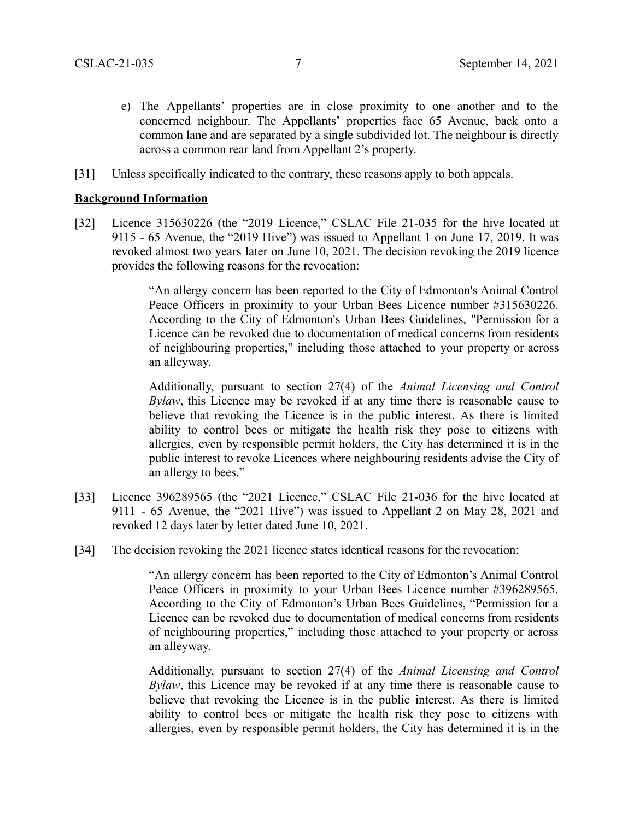- e) The Appellants' properties are in close proximity to one another and to the concerned neighbour. The Appellants' properties face 65 Avenue, back onto a common lane and are separated by a single subdivided lot. The neighbour is directly across a common rear land from Appellant 2's property.
- [31] Unless specifically indicated to the contrary, these reasons apply to both appeals.

### **Background Information**

[32] Licence 315630226 (the "2019 Licence," CSLAC File 21-035 for the hive located at 9115 - 65 Avenue, the "2019 Hive") was issued to Appellant 1 on June 17, 2019. It was revoked almost two years later on June 10, 2021. The decision revoking the 2019 licence provides the following reasons for the revocation:

> "An allergy concern has been reported to the City of Edmonton's Animal Control Peace Officers in proximity to your Urban Bees Licence number #315630226. According to the City of Edmonton's Urban Bees Guidelines, "Permission for a Licence can be revoked due to documentation of medical concerns from residents of neighbouring properties," including those attached to your property or across an alleyway.

> Additionally, pursuant to section 27(4) of the *Animal Licensing and Control Bylaw*, this Licence may be revoked if at any time there is reasonable cause to believe that revoking the Licence is in the public interest. As there is limited ability to control bees or mitigate the health risk they pose to citizens with allergies, even by responsible permit holders, the City has determined it is in the public interest to revoke Licences where neighbouring residents advise the City of an allergy to bees."

- [33] Licence 396289565 (the "2021 Licence," CSLAC File 21-036 for the hive located at 9111 - 65 Avenue, the "2021 Hive") was issued to Appellant 2 on May 28, 2021 and revoked 12 days later by letter dated June 10, 2021.
- [34] The decision revoking the 2021 licence states identical reasons for the revocation:

"An allergy concern has been reported to the City of Edmonton's Animal Control Peace Officers in proximity to your Urban Bees Licence number #396289565. According to the City of Edmonton's Urban Bees Guidelines, "Permission for a Licence can be revoked due to documentation of medical concerns from residents of neighbouring properties," including those attached to your property or across an alleyway.

Additionally, pursuant to section 27(4) of the *Animal Licensing and Control Bylaw*, this Licence may be revoked if at any time there is reasonable cause to believe that revoking the Licence is in the public interest. As there is limited ability to control bees or mitigate the health risk they pose to citizens with allergies, even by responsible permit holders, the City has determined it is in the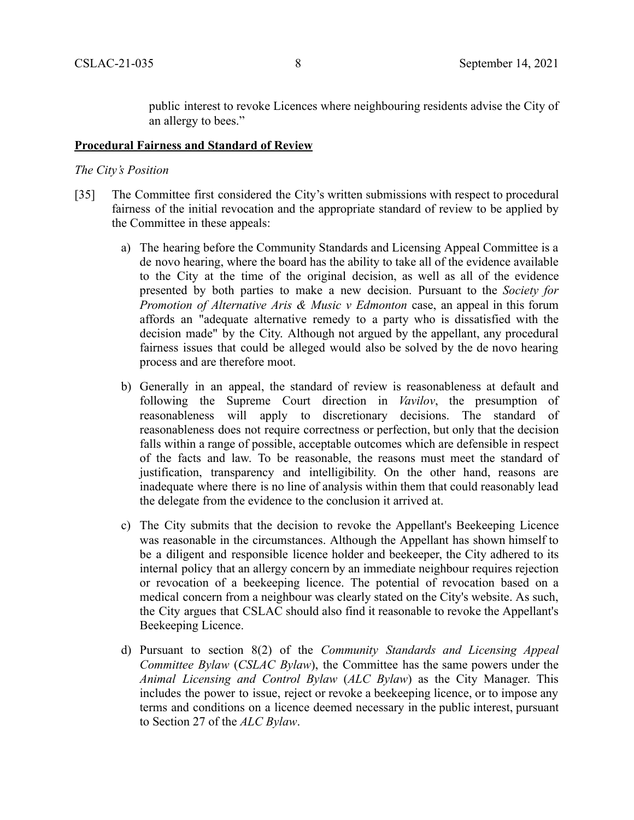public interest to revoke Licences where neighbouring residents advise the City of an allergy to bees."

### **Procedural Fairness and Standard of Review**

#### *The City's Position*

- [35] The Committee first considered the City's written submissions with respect to procedural fairness of the initial revocation and the appropriate standard of review to be applied by the Committee in these appeals:
	- a) The hearing before the Community Standards and Licensing Appeal Committee is a de novo hearing, where the board has the ability to take all of the evidence available to the City at the time of the original decision, as well as all of the evidence presented by both parties to make a new decision. Pursuant to the *Society for Promotion of Alternative Aris & Music v Edmonton* case, an appeal in this forum affords an "adequate alternative remedy to a party who is dissatisfied with the decision made" by the City. Although not argued by the appellant, any procedural fairness issues that could be alleged would also be solved by the de novo hearing process and are therefore moot.
	- b) Generally in an appeal, the standard of review is reasonableness at default and following the Supreme Court direction in *Vavilov*, the presumption of reasonableness will apply to discretionary decisions. The standard of reasonableness does not require correctness or perfection, but only that the decision falls within a range of possible, acceptable outcomes which are defensible in respect of the facts and law. To be reasonable, the reasons must meet the standard of justification, transparency and intelligibility. On the other hand, reasons are inadequate where there is no line of analysis within them that could reasonably lead the delegate from the evidence to the conclusion it arrived at.
	- c) The City submits that the decision to revoke the Appellant's Beekeeping Licence was reasonable in the circumstances. Although the Appellant has shown himself to be a diligent and responsible licence holder and beekeeper, the City adhered to its internal policy that an allergy concern by an immediate neighbour requires rejection or revocation of a beekeeping licence. The potential of revocation based on a medical concern from a neighbour was clearly stated on the City's website. As such, the City argues that CSLAC should also find it reasonable to revoke the Appellant's Beekeeping Licence.
	- d) Pursuant to section 8(2) of the *Community Standards and Licensing Appeal Committee Bylaw* (*CSLAC Bylaw*), the Committee has the same powers under the *Animal Licensing and Control Bylaw* (*ALC Bylaw*) as the City Manager. This includes the power to issue, reject or revoke a beekeeping licence, or to impose any terms and conditions on a licence deemed necessary in the public interest, pursuant to Section 27 of the *ALC Bylaw*.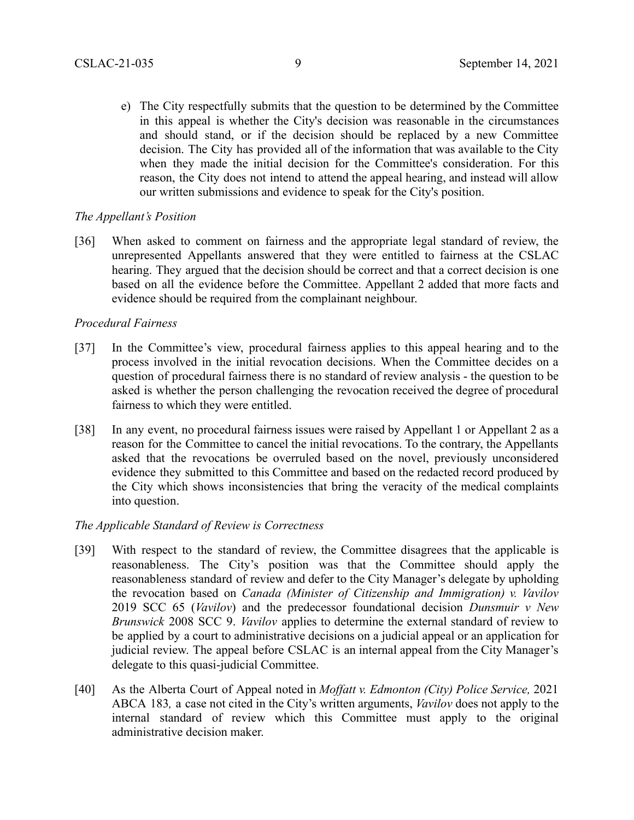e) The City respectfully submits that the question to be determined by the Committee in this appeal is whether the City's decision was reasonable in the circumstances and should stand, or if the decision should be replaced by a new Committee decision. The City has provided all of the information that was available to the City when they made the initial decision for the Committee's consideration. For this reason, the City does not intend to attend the appeal hearing, and instead will allow our written submissions and evidence to speak for the City's position.

## *The Appellant's Position*

[36] When asked to comment on fairness and the appropriate legal standard of review, the unrepresented Appellants answered that they were entitled to fairness at the CSLAC hearing. They argued that the decision should be correct and that a correct decision is one based on all the evidence before the Committee. Appellant 2 added that more facts and evidence should be required from the complainant neighbour.

## *Procedural Fairness*

- [37] In the Committee's view, procedural fairness applies to this appeal hearing and to the process involved in the initial revocation decisions. When the Committee decides on a question of procedural fairness there is no standard of review analysis - the question to be asked is whether the person challenging the revocation received the degree of procedural fairness to which they were entitled.
- [38] In any event, no procedural fairness issues were raised by Appellant 1 or Appellant 2 as a reason for the Committee to cancel the initial revocations. To the contrary, the Appellants asked that the revocations be overruled based on the novel, previously unconsidered evidence they submitted to this Committee and based on the redacted record produced by the City which shows inconsistencies that bring the veracity of the medical complaints into question.

# *The Applicable Standard of Review is Correctness*

- [39] With respect to the standard of review, the Committee disagrees that the applicable is reasonableness. The City's position was that the Committee should apply the reasonableness standard of review and defer to the City Manager's delegate by upholding the revocation based on *Canada (Minister of Citizenship and Immigration) v. Vavilov* 2019 SCC 65 (*Vavilov*) and the predecessor foundational decision *Dunsmuir v New Brunswick* 2008 SCC 9. *Vavilov* applies to determine the external standard of review to be applied by a court to administrative decisions on a judicial appeal or an application for judicial review. The appeal before CSLAC is an internal appeal from the City Manager's delegate to this quasi-judicial Committee.
- [40] As the Alberta Court of Appeal noted in *Moffatt v. Edmonton (City) Police Service,* 2021 ABCA 183*,* a case not cited in the City's written arguments, *Vavilov* does not apply to the internal standard of review which this Committee must apply to the original administrative decision maker.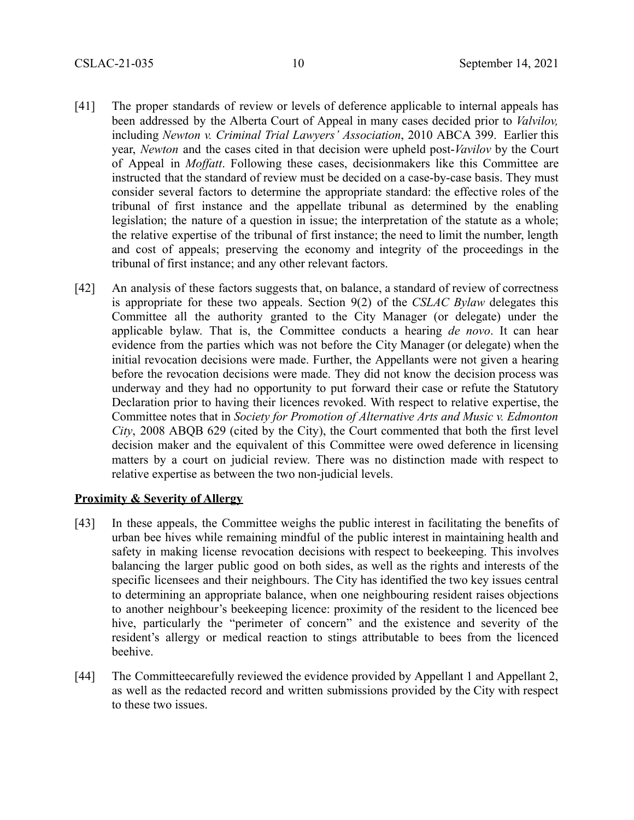- [41] The proper standards of review or levels of deference applicable to internal appeals has been addressed by the Alberta Court of Appeal in many cases decided prior to *Valvilov,* including *Newton v. Criminal Trial Lawyers' Association*, 2010 ABCA 399. Earlier this year, *Newton* and the cases cited in that decision were upheld post-*Vavilov* by the Court of Appeal in *Moffatt*. Following these cases, decisionmakers like this Committee are instructed that the standard of review must be decided on a case-by-case basis. They must consider several factors to determine the appropriate standard: the effective roles of the tribunal of first instance and the appellate tribunal as determined by the enabling legislation; the nature of a question in issue; the interpretation of the statute as a whole; the relative expertise of the tribunal of first instance; the need to limit the number, length and cost of appeals; preserving the economy and integrity of the proceedings in the tribunal of first instance; and any other relevant factors.
- [42] An analysis of these factors suggests that, on balance, a standard of review of correctness is appropriate for these two appeals. Section 9(2) of the *CSLAC Bylaw* delegates this Committee all the authority granted to the City Manager (or delegate) under the applicable bylaw. That is, the Committee conducts a hearing *de novo*. It can hear evidence from the parties which was not before the City Manager (or delegate) when the initial revocation decisions were made. Further, the Appellants were not given a hearing before the revocation decisions were made. They did not know the decision process was underway and they had no opportunity to put forward their case or refute the Statutory Declaration prior to having their licences revoked. With respect to relative expertise, the Committee notes that in *Society for Promotion of Alternative Arts and Music v. Edmonton City*, 2008 ABQB 629 (cited by the City), the Court commented that both the first level decision maker and the equivalent of this Committee were owed deference in licensing matters by a court on judicial review. There was no distinction made with respect to relative expertise as between the two non-judicial levels.

### **Proximity & Severity of Allergy**

- [43] In these appeals, the Committee weighs the public interest in facilitating the benefits of urban bee hives while remaining mindful of the public interest in maintaining health and safety in making license revocation decisions with respect to beekeeping. This involves balancing the larger public good on both sides, as well as the rights and interests of the specific licensees and their neighbours. The City has identified the two key issues central to determining an appropriate balance, when one neighbouring resident raises objections to another neighbour's beekeeping licence: proximity of the resident to the licenced bee hive, particularly the "perimeter of concern" and the existence and severity of the resident's allergy or medical reaction to stings attributable to bees from the licenced beehive.
- [44] The Committeecarefully reviewed the evidence provided by Appellant 1 and Appellant 2, as well as the redacted record and written submissions provided by the City with respect to these two issues.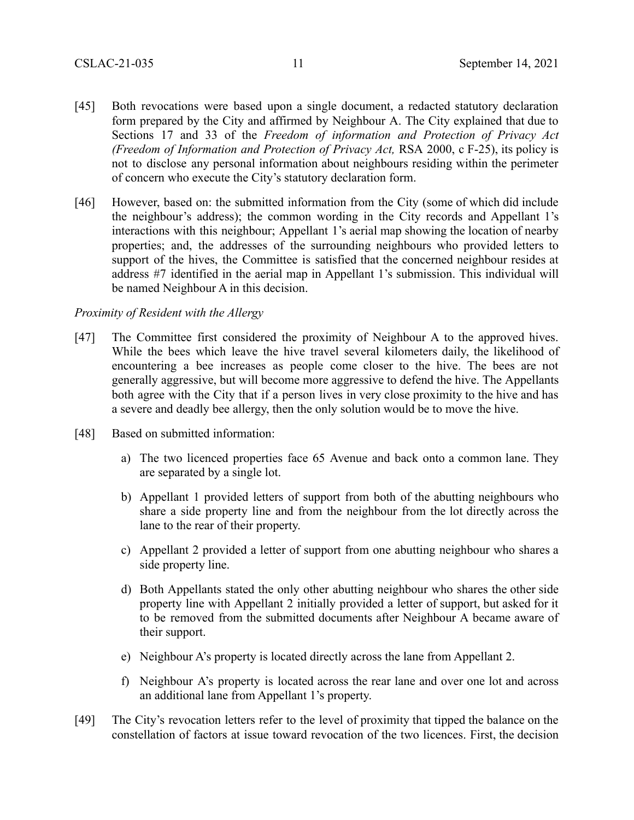- [45] Both revocations were based upon a single document, a redacted statutory declaration form prepared by the City and affirmed by Neighbour A. The City explained that due to Sections 17 and 33 of the *Freedom of information and Protection of Privacy Act (Freedom of Information and Protection of Privacy Act,* RSA 2000, c F-25), its policy is not to disclose any personal information about neighbours residing within the perimeter of concern who execute the City's statutory declaration form.
- [46] However, based on: the submitted information from the City (some of which did include the neighbour's address); the common wording in the City records and Appellant 1's interactions with this neighbour; Appellant 1's aerial map showing the location of nearby properties; and, the addresses of the surrounding neighbours who provided letters to support of the hives, the Committee is satisfied that the concerned neighbour resides at address #7 identified in the aerial map in Appellant 1's submission. This individual will be named Neighbour A in this decision.

### *Proximity of Resident with the Allergy*

- [47] The Committee first considered the proximity of Neighbour A to the approved hives. While the bees which leave the hive travel several kilometers daily, the likelihood of encountering a bee increases as people come closer to the hive. The bees are not generally aggressive, but will become more aggressive to defend the hive. The Appellants both agree with the City that if a person lives in very close proximity to the hive and has a severe and deadly bee allergy, then the only solution would be to move the hive.
- [48] Based on submitted information:
	- a) The two licenced properties face 65 Avenue and back onto a common lane. They are separated by a single lot.
	- b) Appellant 1 provided letters of support from both of the abutting neighbours who share a side property line and from the neighbour from the lot directly across the lane to the rear of their property.
	- c) Appellant 2 provided a letter of support from one abutting neighbour who shares a side property line.
	- d) Both Appellants stated the only other abutting neighbour who shares the other side property line with Appellant 2 initially provided a letter of support, but asked for it to be removed from the submitted documents after Neighbour A became aware of their support.
	- e) Neighbour A's property is located directly across the lane from Appellant 2.
	- f) Neighbour A's property is located across the rear lane and over one lot and across an additional lane from Appellant 1's property.
- [49] The City's revocation letters refer to the level of proximity that tipped the balance on the constellation of factors at issue toward revocation of the two licences. First, the decision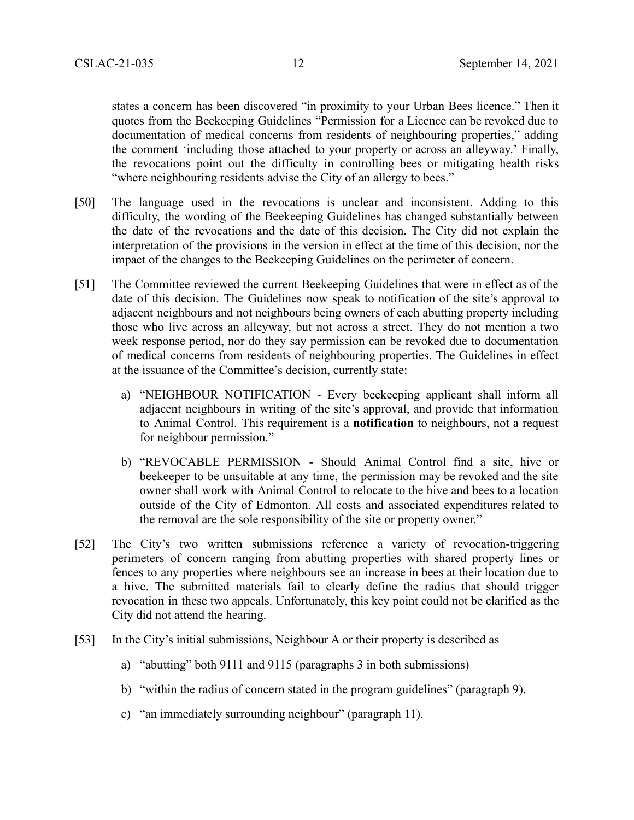states a concern has been discovered "in proximity to your Urban Bees licence." Then it quotes from the Beekeeping Guidelines "Permission for a Licence can be revoked due to documentation of medical concerns from residents of neighbouring properties," adding the comment 'including those attached to your property or across an alleyway.' Finally, the revocations point out the difficulty in controlling bees or mitigating health risks "where neighbouring residents advise the City of an allergy to bees."

- [50] The language used in the revocations is unclear and inconsistent. Adding to this difficulty, the wording of the Beekeeping Guidelines has changed substantially between the date of the revocations and the date of this decision. The City did not explain the interpretation of the provisions in the version in effect at the time of this decision, nor the impact of the changes to the Beekeeping Guidelines on the perimeter of concern.
- [51] The Committee reviewed the current Beekeeping Guidelines that were in effect as of the date of this decision. The Guidelines now speak to notification of the site's approval to adjacent neighbours and not neighbours being owners of each abutting property including those who live across an alleyway, but not across a street. They do not mention a two week response period, nor do they say permission can be revoked due to documentation of medical concerns from residents of neighbouring properties. The Guidelines in effect at the issuance of the Committee's decision, currently state:
	- a) "NEIGHBOUR NOTIFICATION Every beekeeping applicant shall inform all adjacent neighbours in writing of the site's approval, and provide that information to Animal Control. This requirement is a **notification** to neighbours, not a request for neighbour permission."
	- b) "REVOCABLE PERMISSION Should Animal Control find a site, hive or beekeeper to be unsuitable at any time, the permission may be revoked and the site owner shall work with Animal Control to relocate to the hive and bees to a location outside of the City of Edmonton. All costs and associated expenditures related to the removal are the sole responsibility of the site or property owner."
- [52] The City's two written submissions reference a variety of revocation-triggering perimeters of concern ranging from abutting properties with shared property lines or fences to any properties where neighbours see an increase in bees at their location due to a hive. The submitted materials fail to clearly define the radius that should trigger revocation in these two appeals. Unfortunately, this key point could not be clarified as the City did not attend the hearing.
- [53] In the City's initial submissions, Neighbour A or their property is described as
	- a) "abutting" both 9111 and 9115 (paragraphs 3 in both submissions)
	- b) "within the radius of concern stated in the program guidelines" (paragraph 9).
	- c) "an immediately surrounding neighbour" (paragraph 11).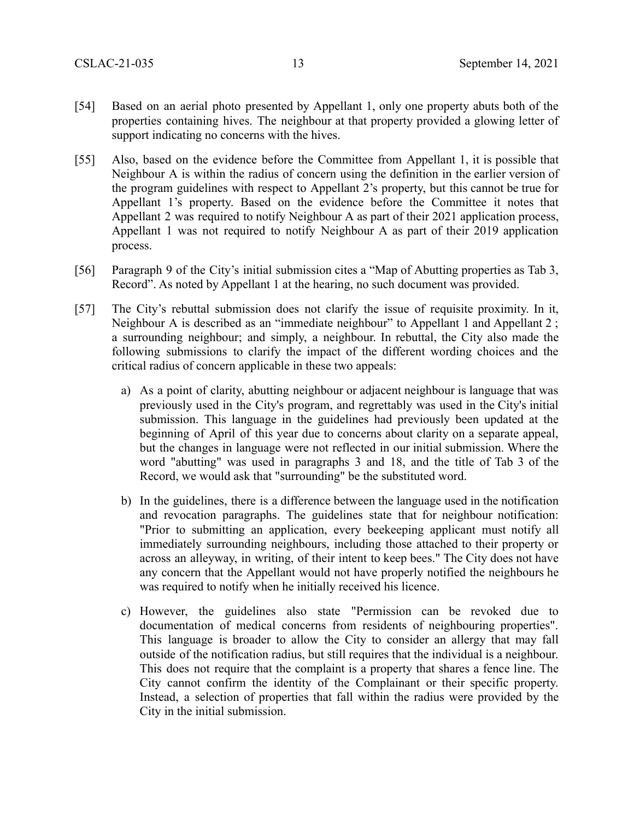- [54] Based on an aerial photo presented by Appellant 1, only one property abuts both of the properties containing hives. The neighbour at that property provided a glowing letter of support indicating no concerns with the hives.
- [55] Also, based on the evidence before the Committee from Appellant 1, it is possible that Neighbour A is within the radius of concern using the definition in the earlier version of the program guidelines with respect to Appellant 2's property, but this cannot be true for Appellant 1's property. Based on the evidence before the Committee it notes that Appellant 2 was required to notify Neighbour A as part of their 2021 application process, Appellant 1 was not required to notify Neighbour A as part of their 2019 application process.
- [56] Paragraph 9 of the City's initial submission cites a "Map of Abutting properties as Tab 3, Record". As noted by Appellant 1 at the hearing, no such document was provided.
- [57] The City's rebuttal submission does not clarify the issue of requisite proximity. In it, Neighbour A is described as an "immediate neighbour" to Appellant 1 and Appellant 2 ; a surrounding neighbour; and simply, a neighbour. In rebuttal, the City also made the following submissions to clarify the impact of the different wording choices and the critical radius of concern applicable in these two appeals:
	- a) As a point of clarity, abutting neighbour or adjacent neighbour is language that was previously used in the City's program, and regrettably was used in the City's initial submission. This language in the guidelines had previously been updated at the beginning of April of this year due to concerns about clarity on a separate appeal, but the changes in language were not reflected in our initial submission. Where the word "abutting" was used in paragraphs 3 and 18, and the title of Tab 3 of the Record, we would ask that "surrounding" be the substituted word.
	- b) In the guidelines, there is a difference between the language used in the notification and revocation paragraphs. The guidelines state that for neighbour notification: "Prior to submitting an application, every beekeeping applicant must notify all immediately surrounding neighbours, including those attached to their property or across an alleyway, in writing, of their intent to keep bees." The City does not have any concern that the Appellant would not have properly notified the neighbours he was required to notify when he initially received his licence.
	- c) However, the guidelines also state "Permission can be revoked due to documentation of medical concerns from residents of neighbouring properties". This language is broader to allow the City to consider an allergy that may fall outside of the notification radius, but still requires that the individual is a neighbour. This does not require that the complaint is a property that shares a fence line. The City cannot confirm the identity of the Complainant or their specific property. Instead, a selection of properties that fall within the radius were provided by the City in the initial submission.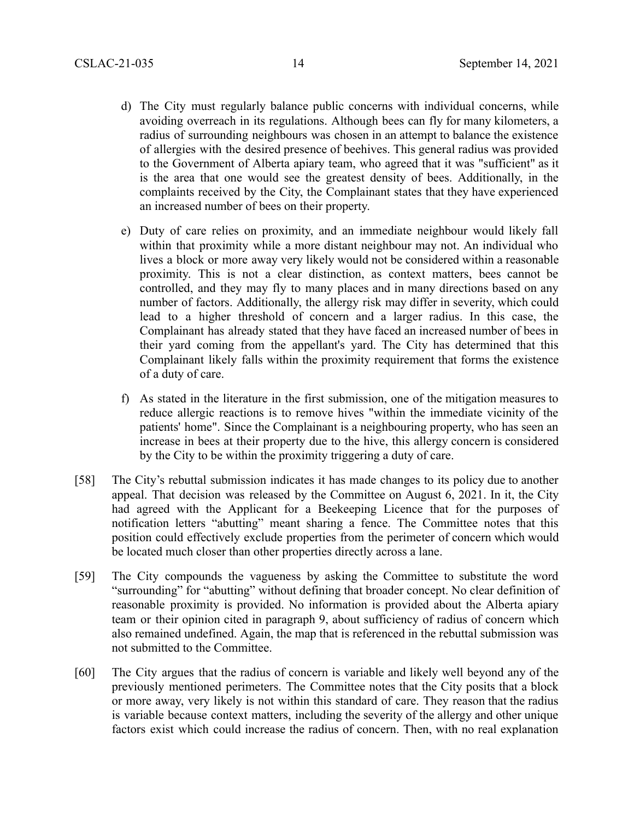- d) The City must regularly balance public concerns with individual concerns, while avoiding overreach in its regulations. Although bees can fly for many kilometers, a radius of surrounding neighbours was chosen in an attempt to balance the existence of allergies with the desired presence of beehives. This general radius was provided to the Government of Alberta apiary team, who agreed that it was "sufficient" as it is the area that one would see the greatest density of bees. Additionally, in the complaints received by the City, the Complainant states that they have experienced an increased number of bees on their property.
- e) Duty of care relies on proximity, and an immediate neighbour would likely fall within that proximity while a more distant neighbour may not. An individual who lives a block or more away very likely would not be considered within a reasonable proximity. This is not a clear distinction, as context matters, bees cannot be controlled, and they may fly to many places and in many directions based on any number of factors. Additionally, the allergy risk may differ in severity, which could lead to a higher threshold of concern and a larger radius. In this case, the Complainant has already stated that they have faced an increased number of bees in their yard coming from the appellant's yard. The City has determined that this Complainant likely falls within the proximity requirement that forms the existence of a duty of care.
- f) As stated in the literature in the first submission, one of the mitigation measures to reduce allergic reactions is to remove hives "within the immediate vicinity of the patients' home". Since the Complainant is a neighbouring property, who has seen an increase in bees at their property due to the hive, this allergy concern is considered by the City to be within the proximity triggering a duty of care.
- [58] The City's rebuttal submission indicates it has made changes to its policy due to another appeal. That decision was released by the Committee on August 6, 2021. In it, the City had agreed with the Applicant for a Beekeeping Licence that for the purposes of notification letters "abutting" meant sharing a fence. The Committee notes that this position could effectively exclude properties from the perimeter of concern which would be located much closer than other properties directly across a lane.
- [59] The City compounds the vagueness by asking the Committee to substitute the word "surrounding" for "abutting" without defining that broader concept. No clear definition of reasonable proximity is provided. No information is provided about the Alberta apiary team or their opinion cited in paragraph 9, about sufficiency of radius of concern which also remained undefined. Again, the map that is referenced in the rebuttal submission was not submitted to the Committee.
- [60] The City argues that the radius of concern is variable and likely well beyond any of the previously mentioned perimeters. The Committee notes that the City posits that a block or more away, very likely is not within this standard of care. They reason that the radius is variable because context matters, including the severity of the allergy and other unique factors exist which could increase the radius of concern. Then, with no real explanation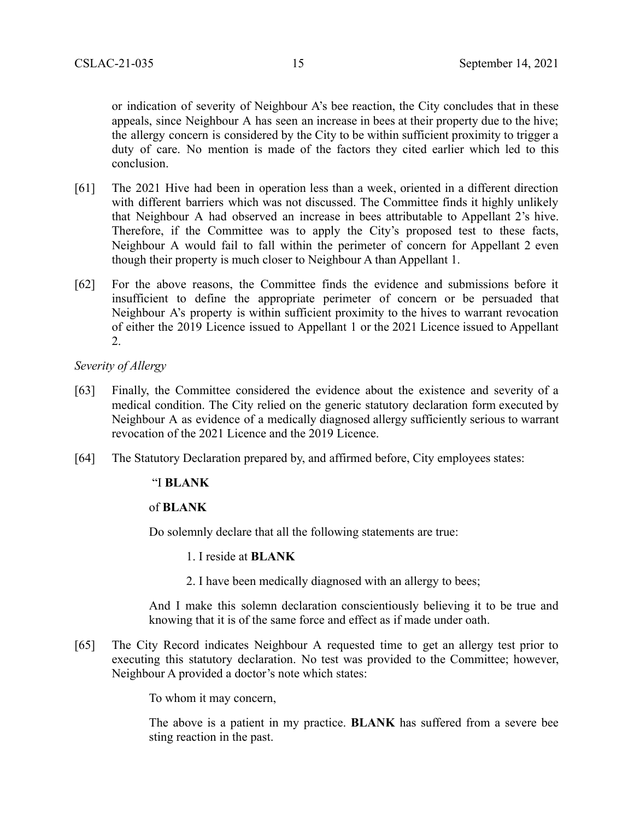or indication of severity of Neighbour A's bee reaction, the City concludes that in these appeals, since Neighbour A has seen an increase in bees at their property due to the hive; the allergy concern is considered by the City to be within sufficient proximity to trigger a duty of care. No mention is made of the factors they cited earlier which led to this conclusion.

- [61] The 2021 Hive had been in operation less than a week, oriented in a different direction with different barriers which was not discussed. The Committee finds it highly unlikely that Neighbour A had observed an increase in bees attributable to Appellant 2's hive. Therefore, if the Committee was to apply the City's proposed test to these facts, Neighbour A would fail to fall within the perimeter of concern for Appellant 2 even though their property is much closer to Neighbour A than Appellant 1.
- [62] For the above reasons, the Committee finds the evidence and submissions before it insufficient to define the appropriate perimeter of concern or be persuaded that Neighbour A's property is within sufficient proximity to the hives to warrant revocation of either the 2019 Licence issued to Appellant 1 or the 2021 Licence issued to Appellant 2.

*Severity of Allergy*

- [63] Finally, the Committee considered the evidence about the existence and severity of a medical condition. The City relied on the generic statutory declaration form executed by Neighbour A as evidence of a medically diagnosed allergy sufficiently serious to warrant revocation of the 2021 Licence and the 2019 Licence.
- [64] The Statutory Declaration prepared by, and affirmed before, City employees states:

#### "I **BLANK**

### of **BLANK**

Do solemnly declare that all the following statements are true:

- 1. I reside at **BLANK**
- 2. I have been medically diagnosed with an allergy to bees;

And I make this solemn declaration conscientiously believing it to be true and knowing that it is of the same force and effect as if made under oath.

[65] The City Record indicates Neighbour A requested time to get an allergy test prior to executing this statutory declaration. No test was provided to the Committee; however, Neighbour A provided a doctor's note which states:

To whom it may concern,

The above is a patient in my practice. **BLANK** has suffered from a severe bee sting reaction in the past.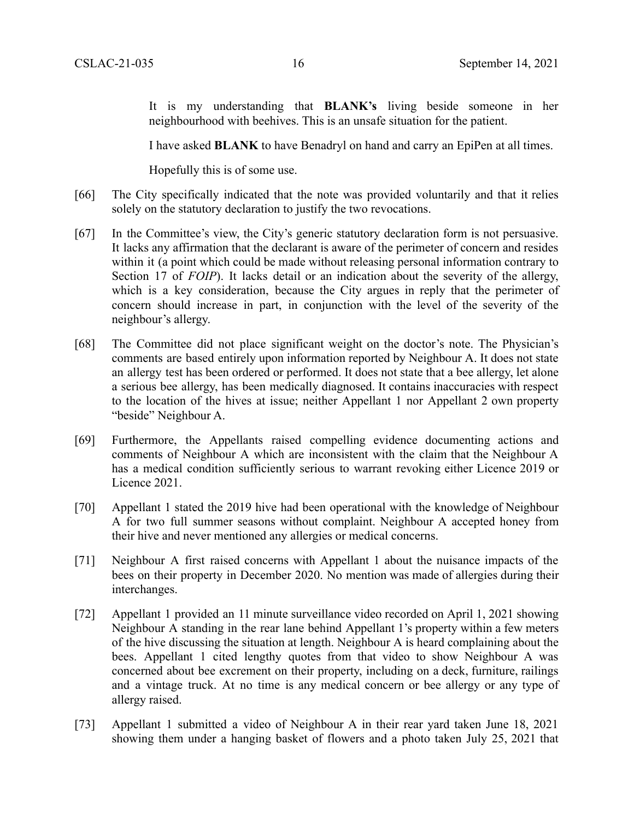It is my understanding that **BLANK's** living beside someone in her neighbourhood with beehives. This is an unsafe situation for the patient.

I have asked **BLANK** to have Benadryl on hand and carry an EpiPen at all times.

Hopefully this is of some use.

- [66] The City specifically indicated that the note was provided voluntarily and that it relies solely on the statutory declaration to justify the two revocations.
- [67] In the Committee's view, the City's generic statutory declaration form is not persuasive. It lacks any affirmation that the declarant is aware of the perimeter of concern and resides within it (a point which could be made without releasing personal information contrary to Section 17 of *FOIP*). It lacks detail or an indication about the severity of the allergy, which is a key consideration, because the City argues in reply that the perimeter of concern should increase in part, in conjunction with the level of the severity of the neighbour's allergy.
- [68] The Committee did not place significant weight on the doctor's note. The Physician's comments are based entirely upon information reported by Neighbour A. It does not state an allergy test has been ordered or performed. It does not state that a bee allergy, let alone a serious bee allergy, has been medically diagnosed. It contains inaccuracies with respect to the location of the hives at issue; neither Appellant 1 nor Appellant 2 own property "beside" Neighbour A.
- [69] Furthermore, the Appellants raised compelling evidence documenting actions and comments of Neighbour A which are inconsistent with the claim that the Neighbour A has a medical condition sufficiently serious to warrant revoking either Licence 2019 or Licence 2021.
- [70] Appellant 1 stated the 2019 hive had been operational with the knowledge of Neighbour A for two full summer seasons without complaint. Neighbour A accepted honey from their hive and never mentioned any allergies or medical concerns.
- [71] Neighbour A first raised concerns with Appellant 1 about the nuisance impacts of the bees on their property in December 2020. No mention was made of allergies during their interchanges.
- [72] Appellant 1 provided an 11 minute surveillance video recorded on April 1, 2021 showing Neighbour A standing in the rear lane behind Appellant 1's property within a few meters of the hive discussing the situation at length. Neighbour A is heard complaining about the bees. Appellant 1 cited lengthy quotes from that video to show Neighbour A was concerned about bee excrement on their property, including on a deck, furniture, railings and a vintage truck. At no time is any medical concern or bee allergy or any type of allergy raised.
- [73] Appellant 1 submitted a video of Neighbour A in their rear yard taken June 18, 2021 showing them under a hanging basket of flowers and a photo taken July 25, 2021 that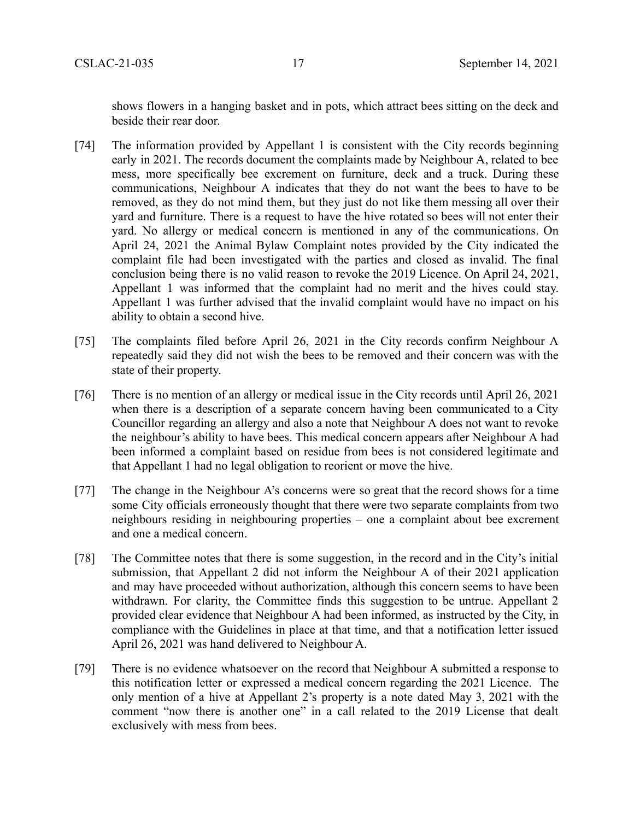shows flowers in a hanging basket and in pots, which attract bees sitting on the deck and beside their rear door.

- [74] The information provided by Appellant 1 is consistent with the City records beginning early in 2021. The records document the complaints made by Neighbour A, related to bee mess, more specifically bee excrement on furniture, deck and a truck. During these communications, Neighbour A indicates that they do not want the bees to have to be removed, as they do not mind them, but they just do not like them messing all over their yard and furniture. There is a request to have the hive rotated so bees will not enter their yard. No allergy or medical concern is mentioned in any of the communications. On April 24, 2021 the Animal Bylaw Complaint notes provided by the City indicated the complaint file had been investigated with the parties and closed as invalid. The final conclusion being there is no valid reason to revoke the 2019 Licence. On April 24, 2021, Appellant 1 was informed that the complaint had no merit and the hives could stay. Appellant 1 was further advised that the invalid complaint would have no impact on his ability to obtain a second hive.
- [75] The complaints filed before April 26, 2021 in the City records confirm Neighbour A repeatedly said they did not wish the bees to be removed and their concern was with the state of their property.
- [76] There is no mention of an allergy or medical issue in the City records until April 26, 2021 when there is a description of a separate concern having been communicated to a City Councillor regarding an allergy and also a note that Neighbour A does not want to revoke the neighbour's ability to have bees. This medical concern appears after Neighbour A had been informed a complaint based on residue from bees is not considered legitimate and that Appellant 1 had no legal obligation to reorient or move the hive.
- [77] The change in the Neighbour A's concerns were so great that the record shows for a time some City officials erroneously thought that there were two separate complaints from two neighbours residing in neighbouring properties – one a complaint about bee excrement and one a medical concern.
- [78] The Committee notes that there is some suggestion, in the record and in the City's initial submission, that Appellant 2 did not inform the Neighbour A of their 2021 application and may have proceeded without authorization, although this concern seems to have been withdrawn. For clarity, the Committee finds this suggestion to be untrue. Appellant 2 provided clear evidence that Neighbour A had been informed, as instructed by the City, in compliance with the Guidelines in place at that time, and that a notification letter issued April 26, 2021 was hand delivered to Neighbour A.
- [79] There is no evidence whatsoever on the record that Neighbour A submitted a response to this notification letter or expressed a medical concern regarding the 2021 Licence. The only mention of a hive at Appellant 2's property is a note dated May 3, 2021 with the comment "now there is another one" in a call related to the 2019 License that dealt exclusively with mess from bees.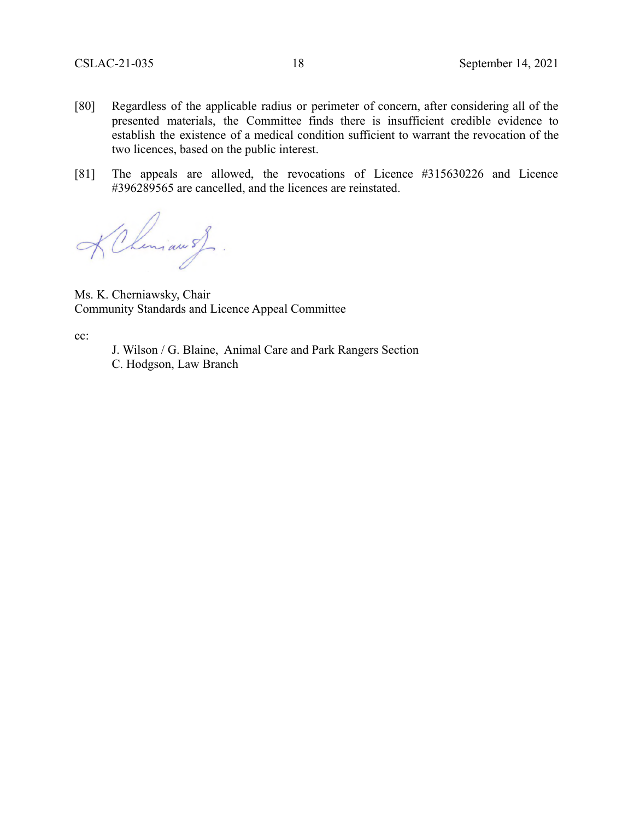- [80] Regardless of the applicable radius or perimeter of concern, after considering all of the presented materials, the Committee finds there is insufficient credible evidence to establish the existence of a medical condition sufficient to warrant the revocation of the two licences, based on the public interest.
- [81] The appeals are allowed, the revocations of Licence #315630226 and Licence #396289565 are cancelled, and the licences are reinstated.

Chimaush.

Ms. K. Cherniawsky, Chair Community Standards and Licence Appeal Committee

cc:

J. Wilson / G. Blaine, Animal Care and Park Rangers Section C. Hodgson, Law Branch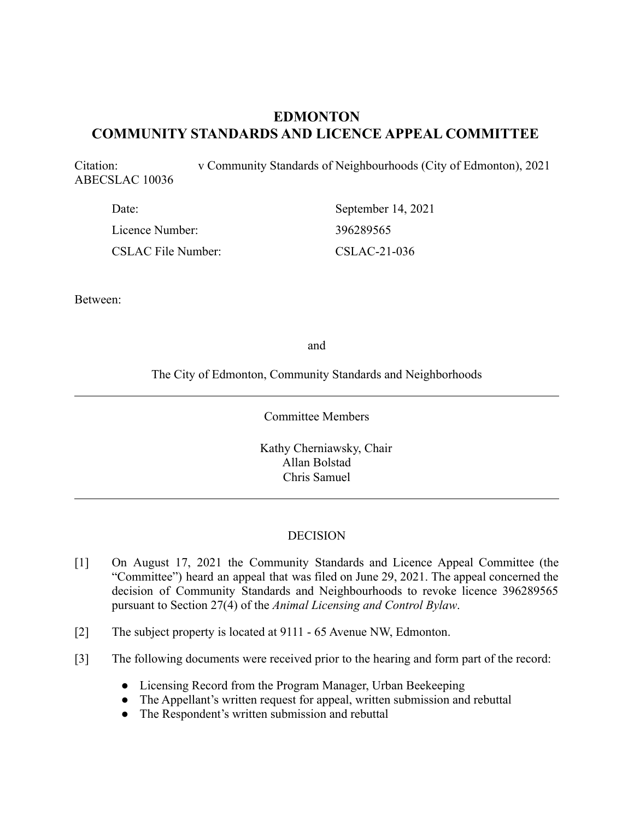# **EDMONTON COMMUNITY STANDARDS AND LICENCE APPEAL COMMITTEE**

Citation: v Community Standards of Neighbourhoods (City of Edmonton), 2021 ABECSLAC 10036

| Date:                     | September 14, 2021 |
|---------------------------|--------------------|
| Licence Number:           | 396289565          |
| <b>CSLAC File Number:</b> | CSLAC-21-036       |

Between:

and

The City of Edmonton, Community Standards and Neighborhoods

Committee Members

Kathy Cherniawsky, Chair Allan Bolstad Chris Samuel

### **DECISION**

- [1] On August 17, 2021 the Community Standards and Licence Appeal Committee (the "Committee") heard an appeal that was filed on June 29, 2021. The appeal concerned the decision of Community Standards and Neighbourhoods to revoke licence 396289565 pursuant to Section 27(4) of the *Animal Licensing and Control Bylaw*.
- [2] The subject property is located at 9111 65 Avenue NW, Edmonton.
- [3] The following documents were received prior to the hearing and form part of the record:
	- Licensing Record from the Program Manager, Urban Beekeeping
	- The Appellant's written request for appeal, written submission and rebuttal
	- The Respondent's written submission and rebuttal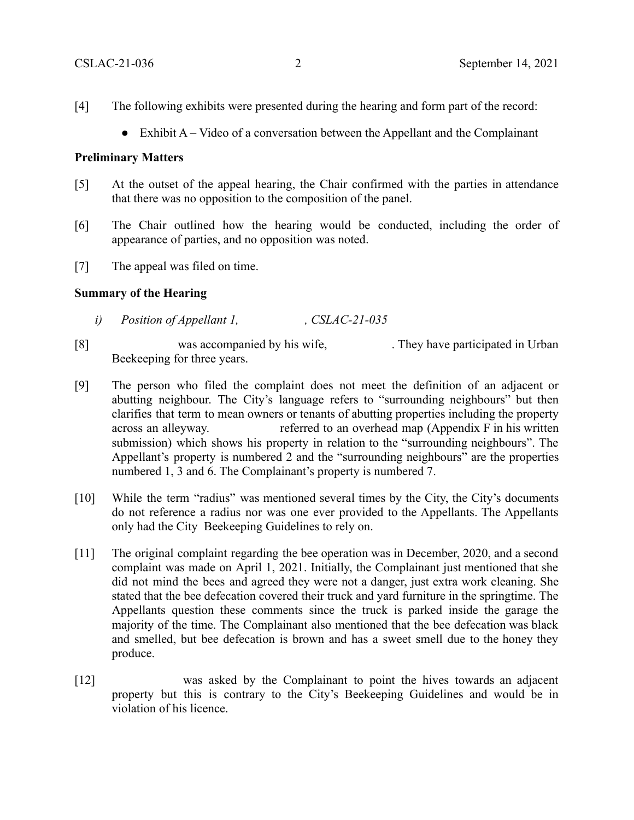- [4] The following exhibits were presented during the hearing and form part of the record:
	- $\bullet$  Exhibit A Video of a conversation between the Appellant and the Complainant

### **Preliminary Matters**

- [5] At the outset of the appeal hearing, the Chair confirmed with the parties in attendance that there was no opposition to the composition of the panel.
- [6] The Chair outlined how the hearing would be conducted, including the order of appearance of parties, and no opposition was noted.
- [7] The appeal was filed on time.

### **Summary of the Hearing**

- *i*) *Position of Appellant 1, CSLAC-21-035*
- [8] was accompanied by his wife, They have participated in Urban Beekeeping for three years.
- [9] The person who filed the complaint does not meet the definition of an adjacent or abutting neighbour. The City's language refers to "surrounding neighbours" but then clarifies that term to mean owners or tenants of abutting properties including the property across an alleyway. The referred to an overhead map (Appendix F in his written submission) which shows his property in relation to the "surrounding neighbours". The Appellant's property is numbered 2 and the "surrounding neighbours" are the properties numbered 1, 3 and 6. The Complainant's property is numbered 7.
- [10] While the term "radius" was mentioned several times by the City, the City's documents do not reference a radius nor was one ever provided to the Appellants. The Appellants only had the City Beekeeping Guidelines to rely on.
- [11] The original complaint regarding the bee operation was in December, 2020, and a second complaint was made on April 1, 2021. Initially, the Complainant just mentioned that she did not mind the bees and agreed they were not a danger, just extra work cleaning. She stated that the bee defecation covered their truck and yard furniture in the springtime. The Appellants question these comments since the truck is parked inside the garage the majority of the time. The Complainant also mentioned that the bee defecation was black and smelled, but bee defecation is brown and has a sweet smell due to the honey they produce.
- [12] was asked by the Complainant to point the hives towards an adjacent property but this is contrary to the City's Beekeeping Guidelines and would be in violation of his licence.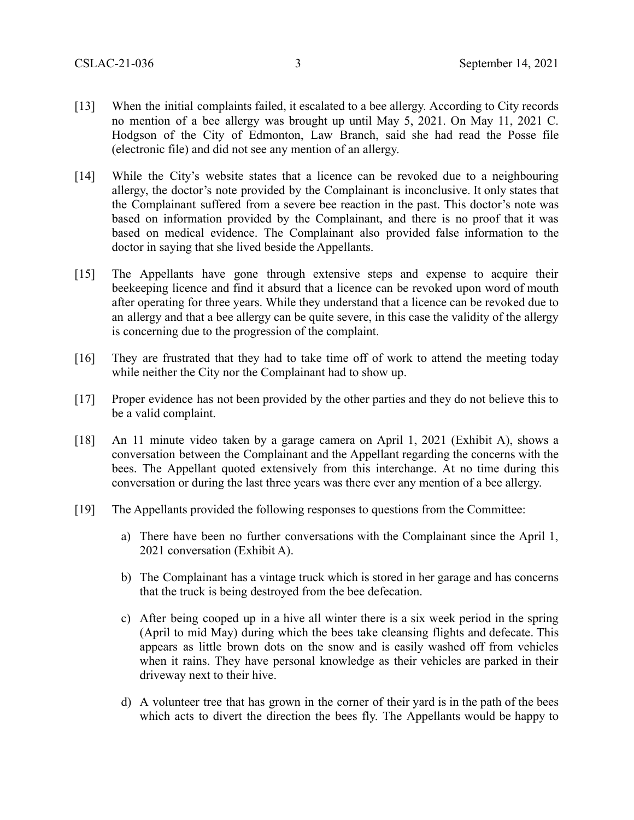- [13] When the initial complaints failed, it escalated to a bee allergy. According to City records no mention of a bee allergy was brought up until May 5, 2021. On May 11, 2021 C. Hodgson of the City of Edmonton, Law Branch, said she had read the Posse file (electronic file) and did not see any mention of an allergy.
- [14] While the City's website states that a licence can be revoked due to a neighbouring allergy, the doctor's note provided by the Complainant is inconclusive. It only states that the Complainant suffered from a severe bee reaction in the past. This doctor's note was based on information provided by the Complainant, and there is no proof that it was based on medical evidence. The Complainant also provided false information to the doctor in saying that she lived beside the Appellants.
- [15] The Appellants have gone through extensive steps and expense to acquire their beekeeping licence and find it absurd that a licence can be revoked upon word of mouth after operating for three years. While they understand that a licence can be revoked due to an allergy and that a bee allergy can be quite severe, in this case the validity of the allergy is concerning due to the progression of the complaint.
- [16] They are frustrated that they had to take time off of work to attend the meeting today while neither the City nor the Complainant had to show up.
- [17] Proper evidence has not been provided by the other parties and they do not believe this to be a valid complaint.
- [18] An 11 minute video taken by a garage camera on April 1, 2021 (Exhibit A), shows a conversation between the Complainant and the Appellant regarding the concerns with the bees. The Appellant quoted extensively from this interchange. At no time during this conversation or during the last three years was there ever any mention of a bee allergy.
- [19] The Appellants provided the following responses to questions from the Committee:
	- a) There have been no further conversations with the Complainant since the April 1, 2021 conversation (Exhibit A).
	- b) The Complainant has a vintage truck which is stored in her garage and has concerns that the truck is being destroyed from the bee defecation.
	- c) After being cooped up in a hive all winter there is a six week period in the spring (April to mid May) during which the bees take cleansing flights and defecate. This appears as little brown dots on the snow and is easily washed off from vehicles when it rains. They have personal knowledge as their vehicles are parked in their driveway next to their hive.
	- d) A volunteer tree that has grown in the corner of their yard is in the path of the bees which acts to divert the direction the bees fly. The Appellants would be happy to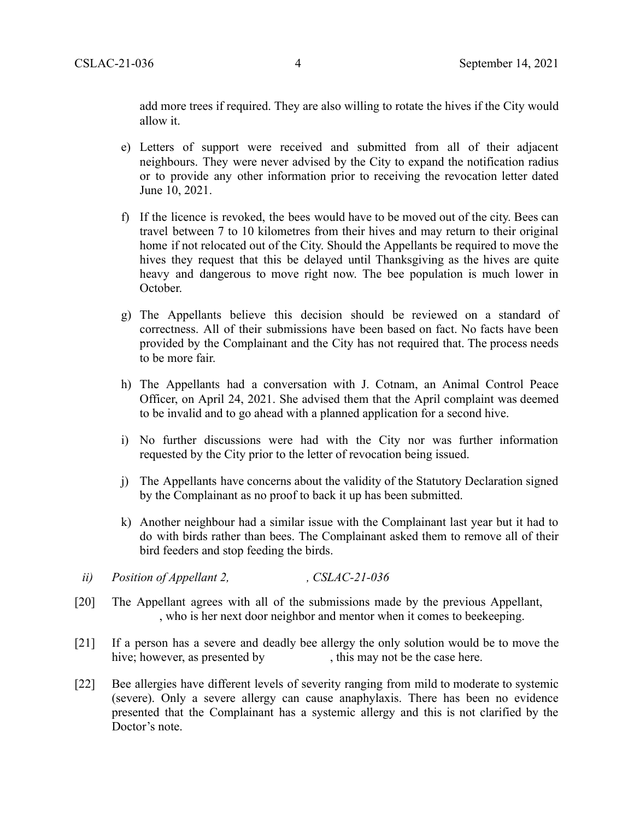add more trees if required. They are also willing to rotate the hives if the City would allow it.

- e) Letters of support were received and submitted from all of their adjacent neighbours. They were never advised by the City to expand the notification radius or to provide any other information prior to receiving the revocation letter dated June 10, 2021.
- f) If the licence is revoked, the bees would have to be moved out of the city. Bees can travel between 7 to 10 kilometres from their hives and may return to their original home if not relocated out of the City. Should the Appellants be required to move the hives they request that this be delayed until Thanksgiving as the hives are quite heavy and dangerous to move right now. The bee population is much lower in October.
- g) The Appellants believe this decision should be reviewed on a standard of correctness. All of their submissions have been based on fact. No facts have been provided by the Complainant and the City has not required that. The process needs to be more fair.
- h) The Appellants had a conversation with J. Cotnam, an Animal Control Peace Officer, on April 24, 2021. She advised them that the April complaint was deemed to be invalid and to go ahead with a planned application for a second hive.
- i) No further discussions were had with the City nor was further information requested by the City prior to the letter of revocation being issued.
- j) The Appellants have concerns about the validity of the Statutory Declaration signed by the Complainant as no proof to back it up has been submitted.
- k) Another neighbour had a similar issue with the Complainant last year but it had to do with birds rather than bees. The Complainant asked them to remove all of their bird feeders and stop feeding the birds.
- *ii*) Position of Appellant 2, CSLAC-21-036
- [20] The Appellant agrees with all of the submissions made by the previous Appellant, , who is her next door neighbor and mentor when it comes to beekeeping.
- [21] If a person has a severe and deadly bee allergy the only solution would be to move the hive; however, as presented by , this may not be the case here.
- [22] Bee allergies have different levels of severity ranging from mild to moderate to systemic (severe). Only a severe allergy can cause anaphylaxis. There has been no evidence presented that the Complainant has a systemic allergy and this is not clarified by the Doctor's note.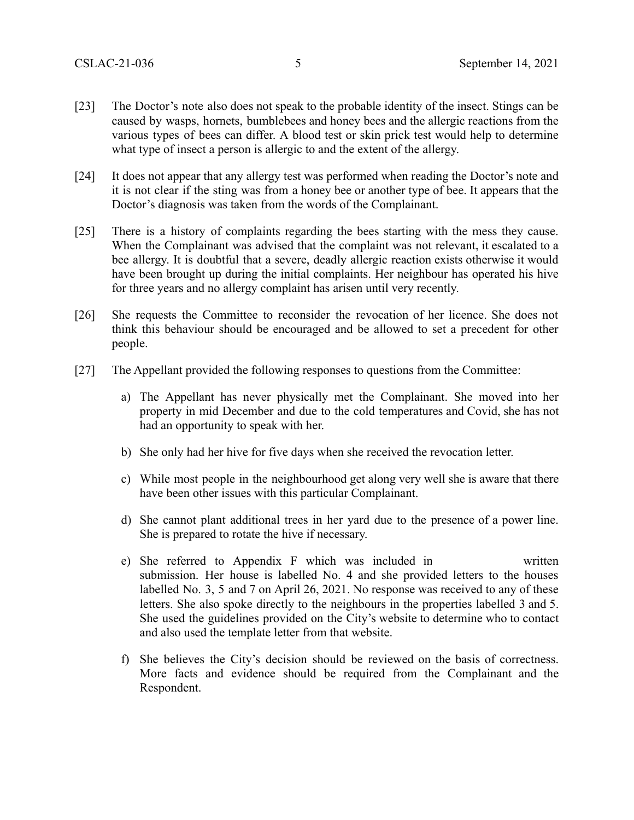- [23] The Doctor's note also does not speak to the probable identity of the insect. Stings can be caused by wasps, hornets, bumblebees and honey bees and the allergic reactions from the various types of bees can differ. A blood test or skin prick test would help to determine what type of insect a person is allergic to and the extent of the allergy.
- [24] It does not appear that any allergy test was performed when reading the Doctor's note and it is not clear if the sting was from a honey bee or another type of bee. It appears that the Doctor's diagnosis was taken from the words of the Complainant.
- [25] There is a history of complaints regarding the bees starting with the mess they cause. When the Complainant was advised that the complaint was not relevant, it escalated to a bee allergy. It is doubtful that a severe, deadly allergic reaction exists otherwise it would have been brought up during the initial complaints. Her neighbour has operated his hive for three years and no allergy complaint has arisen until very recently.
- [26] She requests the Committee to reconsider the revocation of her licence. She does not think this behaviour should be encouraged and be allowed to set a precedent for other people.
- [27] The Appellant provided the following responses to questions from the Committee:
	- a) The Appellant has never physically met the Complainant. She moved into her property in mid December and due to the cold temperatures and Covid, she has not had an opportunity to speak with her.
	- b) She only had her hive for five days when she received the revocation letter.
	- c) While most people in the neighbourhood get along very well she is aware that there have been other issues with this particular Complainant.
	- d) She cannot plant additional trees in her yard due to the presence of a power line. She is prepared to rotate the hive if necessary.
	- e) She referred to Appendix F which was included in written submission. Her house is labelled No. 4 and she provided letters to the houses labelled No. 3, 5 and 7 on April 26, 2021. No response was received to any of these letters. She also spoke directly to the neighbours in the properties labelled 3 and 5. She used the guidelines provided on the City's website to determine who to contact and also used the template letter from that website.
	- f) She believes the City's decision should be reviewed on the basis of correctness. More facts and evidence should be required from the Complainant and the Respondent.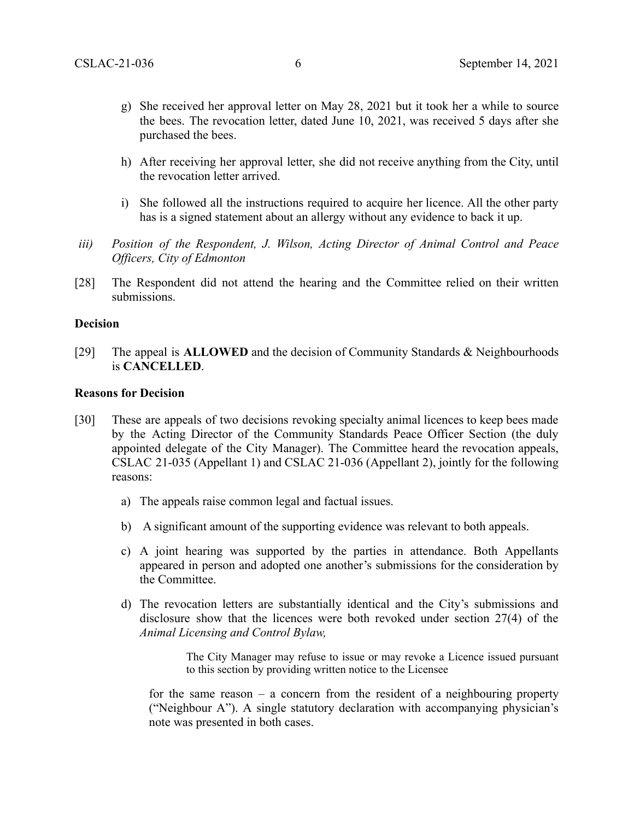- g) She received her approval letter on May 28, 2021 but it took her a while to source the bees. The revocation letter, dated June 10, 2021, was received 5 days after she purchased the bees.
- h) After receiving her approval letter, she did not receive anything from the City, until the revocation letter arrived.
- i) She followed all the instructions required to acquire her licence. All the other party has is a signed statement about an allergy without any evidence to back it up.
- *iii) Position of the Respondent, J. Wilson, Acting Director of Animal Control and Peace Officers, City of Edmonton*
- [28] The Respondent did not attend the hearing and the Committee relied on their written submissions.

#### **Decision**

[29] The appeal is **ALLOWED** and the decision of Community Standards & Neighbourhoods is **CANCELLED**.

### **Reasons for Decision**

- [30] These are appeals of two decisions revoking specialty animal licences to keep bees made by the Acting Director of the Community Standards Peace Officer Section (the duly appointed delegate of the City Manager). The Committee heard the revocation appeals, CSLAC 21-035 (Appellant 1) and CSLAC 21-036 (Appellant 2), jointly for the following reasons:
	- a) The appeals raise common legal and factual issues.
	- b) A significant amount of the supporting evidence was relevant to both appeals.
	- c) A joint hearing was supported by the parties in attendance. Both Appellants appeared in person and adopted one another's submissions for the consideration by the Committee.
	- d) The revocation letters are substantially identical and the City's submissions and disclosure show that the licences were both revoked under section 27(4) of the *Animal Licensing and Control Bylaw,*

The City Manager may refuse to issue or may revoke a Licence issued pursuant to this section by providing written notice to the Licensee

for the same reason – a concern from the resident of a neighbouring property ("Neighbour A"). A single statutory declaration with accompanying physician's note was presented in both cases.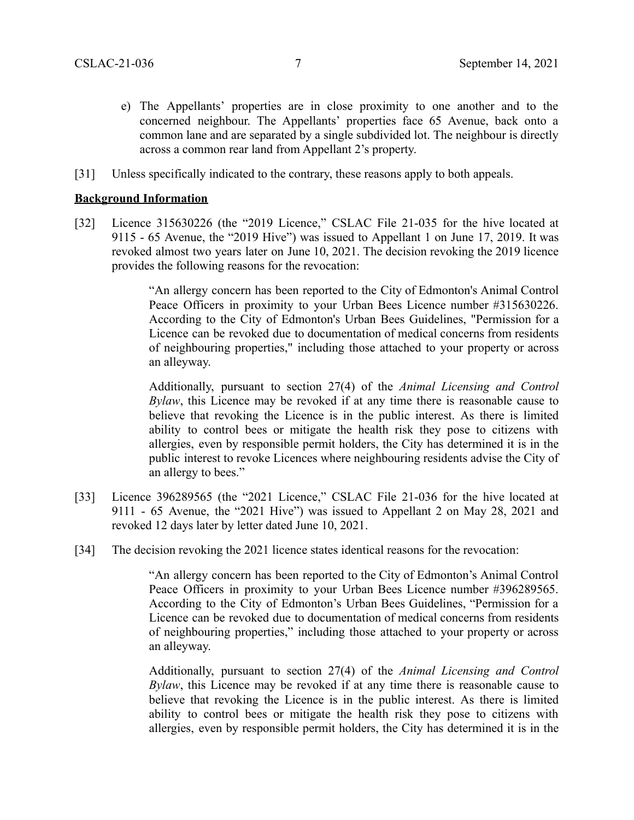- e) The Appellants' properties are in close proximity to one another and to the concerned neighbour. The Appellants' properties face 65 Avenue, back onto a common lane and are separated by a single subdivided lot. The neighbour is directly across a common rear land from Appellant 2's property.
- [31] Unless specifically indicated to the contrary, these reasons apply to both appeals.

### **Background Information**

[32] Licence 315630226 (the "2019 Licence," CSLAC File 21-035 for the hive located at 9115 - 65 Avenue, the "2019 Hive") was issued to Appellant 1 on June 17, 2019. It was revoked almost two years later on June 10, 2021. The decision revoking the 2019 licence provides the following reasons for the revocation:

> "An allergy concern has been reported to the City of Edmonton's Animal Control Peace Officers in proximity to your Urban Bees Licence number #315630226. According to the City of Edmonton's Urban Bees Guidelines, "Permission for a Licence can be revoked due to documentation of medical concerns from residents of neighbouring properties," including those attached to your property or across an alleyway.

> Additionally, pursuant to section 27(4) of the *Animal Licensing and Control Bylaw*, this Licence may be revoked if at any time there is reasonable cause to believe that revoking the Licence is in the public interest. As there is limited ability to control bees or mitigate the health risk they pose to citizens with allergies, even by responsible permit holders, the City has determined it is in the public interest to revoke Licences where neighbouring residents advise the City of an allergy to bees."

- [33] Licence 396289565 (the "2021 Licence," CSLAC File 21-036 for the hive located at 9111 - 65 Avenue, the "2021 Hive") was issued to Appellant 2 on May 28, 2021 and revoked 12 days later by letter dated June 10, 2021.
- [34] The decision revoking the 2021 licence states identical reasons for the revocation:

"An allergy concern has been reported to the City of Edmonton's Animal Control Peace Officers in proximity to your Urban Bees Licence number #396289565. According to the City of Edmonton's Urban Bees Guidelines, "Permission for a Licence can be revoked due to documentation of medical concerns from residents of neighbouring properties," including those attached to your property or across an alleyway.

Additionally, pursuant to section 27(4) of the *Animal Licensing and Control Bylaw*, this Licence may be revoked if at any time there is reasonable cause to believe that revoking the Licence is in the public interest. As there is limited ability to control bees or mitigate the health risk they pose to citizens with allergies, even by responsible permit holders, the City has determined it is in the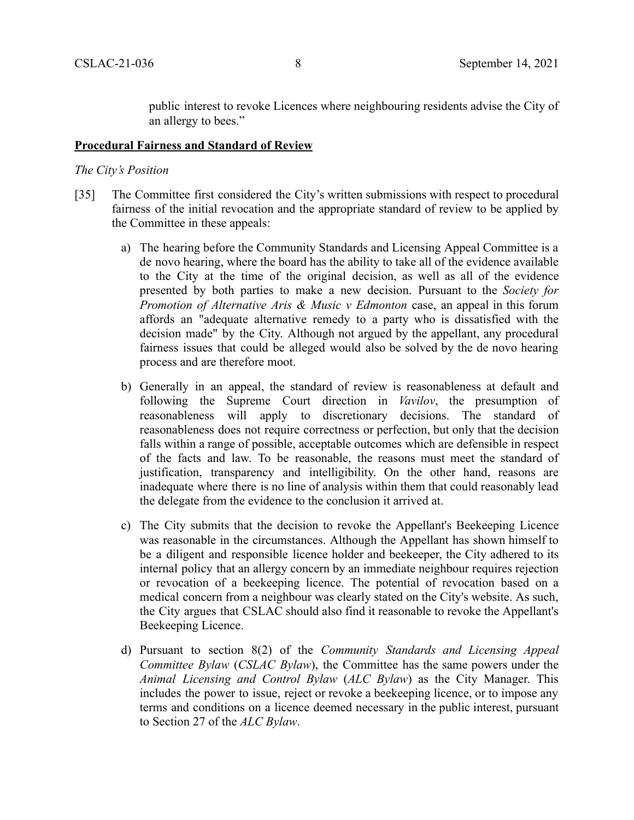public interest to revoke Licences where neighbouring residents advise the City of an allergy to bees."

### **Procedural Fairness and Standard of Review**

### *The City's Position*

- [35] The Committee first considered the City's written submissions with respect to procedural fairness of the initial revocation and the appropriate standard of review to be applied by the Committee in these appeals:
	- a) The hearing before the Community Standards and Licensing Appeal Committee is a de novo hearing, where the board has the ability to take all of the evidence available to the City at the time of the original decision, as well as all of the evidence presented by both parties to make a new decision. Pursuant to the *Society for Promotion of Alternative Aris & Music v Edmonton* case, an appeal in this forum affords an "adequate alternative remedy to a party who is dissatisfied with the decision made" by the City. Although not argued by the appellant, any procedural fairness issues that could be alleged would also be solved by the de novo hearing process and are therefore moot.
	- b) Generally in an appeal, the standard of review is reasonableness at default and following the Supreme Court direction in *Vavilov*, the presumption of reasonableness will apply to discretionary decisions. The standard of reasonableness does not require correctness or perfection, but only that the decision falls within a range of possible, acceptable outcomes which are defensible in respect of the facts and law. To be reasonable, the reasons must meet the standard of justification, transparency and intelligibility. On the other hand, reasons are inadequate where there is no line of analysis within them that could reasonably lead the delegate from the evidence to the conclusion it arrived at.
	- c) The City submits that the decision to revoke the Appellant's Beekeeping Licence was reasonable in the circumstances. Although the Appellant has shown himself to be a diligent and responsible licence holder and beekeeper, the City adhered to its internal policy that an allergy concern by an immediate neighbour requires rejection or revocation of a beekeeping licence. The potential of revocation based on a medical concern from a neighbour was clearly stated on the City's website. As such, the City argues that CSLAC should also find it reasonable to revoke the Appellant's Beekeeping Licence.
	- d) Pursuant to section 8(2) of the *Community Standards and Licensing Appeal Committee Bylaw* (*CSLAC Bylaw*), the Committee has the same powers under the *Animal Licensing and Control Bylaw* (*ALC Bylaw*) as the City Manager. This includes the power to issue, reject or revoke a beekeeping licence, or to impose any terms and conditions on a licence deemed necessary in the public interest, pursuant to Section 27 of the *ALC Bylaw*.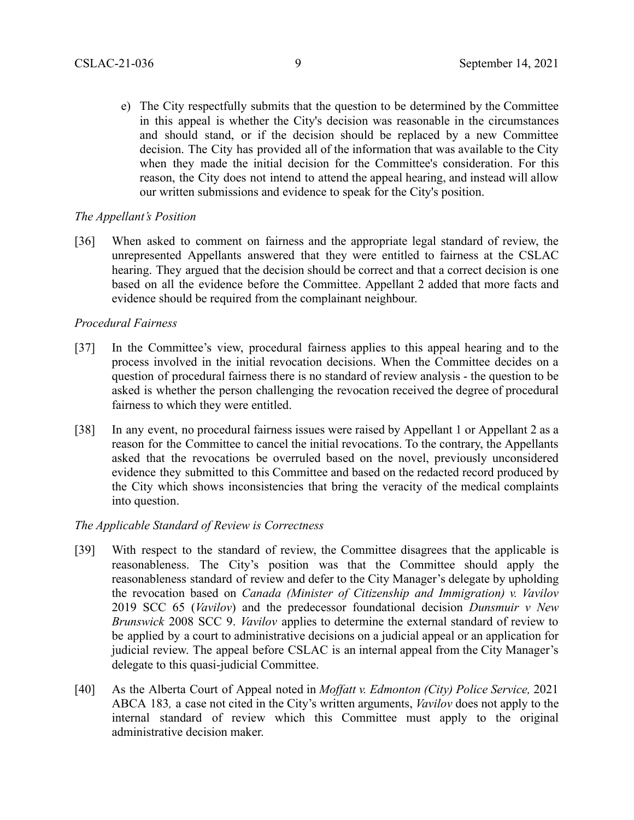e) The City respectfully submits that the question to be determined by the Committee in this appeal is whether the City's decision was reasonable in the circumstances and should stand, or if the decision should be replaced by a new Committee decision. The City has provided all of the information that was available to the City when they made the initial decision for the Committee's consideration. For this reason, the City does not intend to attend the appeal hearing, and instead will allow our written submissions and evidence to speak for the City's position.

## *The Appellant's Position*

[36] When asked to comment on fairness and the appropriate legal standard of review, the unrepresented Appellants answered that they were entitled to fairness at the CSLAC hearing. They argued that the decision should be correct and that a correct decision is one based on all the evidence before the Committee. Appellant 2 added that more facts and evidence should be required from the complainant neighbour.

## *Procedural Fairness*

- [37] In the Committee's view, procedural fairness applies to this appeal hearing and to the process involved in the initial revocation decisions. When the Committee decides on a question of procedural fairness there is no standard of review analysis - the question to be asked is whether the person challenging the revocation received the degree of procedural fairness to which they were entitled.
- [38] In any event, no procedural fairness issues were raised by Appellant 1 or Appellant 2 as a reason for the Committee to cancel the initial revocations. To the contrary, the Appellants asked that the revocations be overruled based on the novel, previously unconsidered evidence they submitted to this Committee and based on the redacted record produced by the City which shows inconsistencies that bring the veracity of the medical complaints into question.

# *The Applicable Standard of Review is Correctness*

- [39] With respect to the standard of review, the Committee disagrees that the applicable is reasonableness. The City's position was that the Committee should apply the reasonableness standard of review and defer to the City Manager's delegate by upholding the revocation based on *Canada (Minister of Citizenship and Immigration) v. Vavilov* 2019 SCC 65 (*Vavilov*) and the predecessor foundational decision *Dunsmuir v New Brunswick* 2008 SCC 9. *Vavilov* applies to determine the external standard of review to be applied by a court to administrative decisions on a judicial appeal or an application for judicial review. The appeal before CSLAC is an internal appeal from the City Manager's delegate to this quasi-judicial Committee.
- [40] As the Alberta Court of Appeal noted in *Moffatt v. Edmonton (City) Police Service,* 2021 ABCA 183*,* a case not cited in the City's written arguments, *Vavilov* does not apply to the internal standard of review which this Committee must apply to the original administrative decision maker.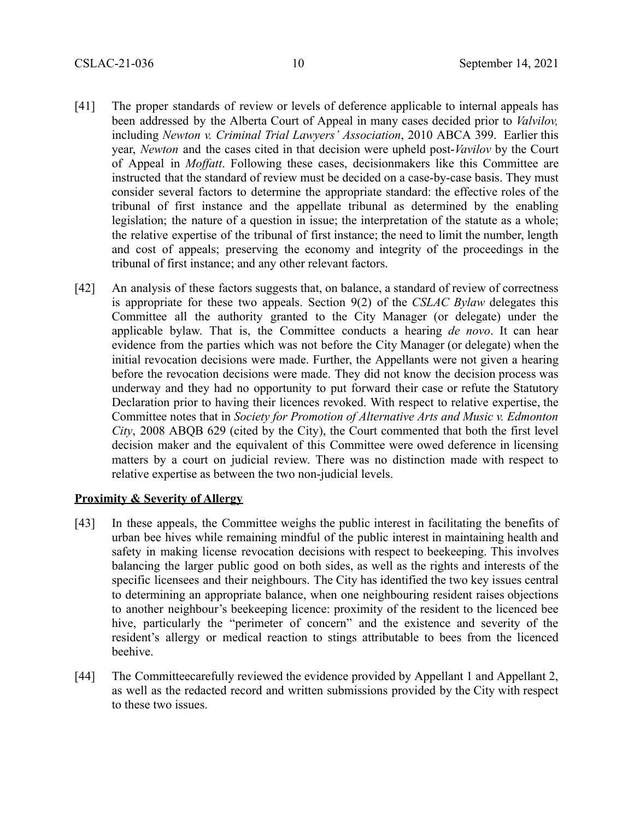- [41] The proper standards of review or levels of deference applicable to internal appeals has been addressed by the Alberta Court of Appeal in many cases decided prior to *Valvilov,* including *Newton v. Criminal Trial Lawyers' Association*, 2010 ABCA 399. Earlier this year, *Newton* and the cases cited in that decision were upheld post-*Vavilov* by the Court of Appeal in *Moffatt*. Following these cases, decisionmakers like this Committee are instructed that the standard of review must be decided on a case-by-case basis. They must consider several factors to determine the appropriate standard: the effective roles of the tribunal of first instance and the appellate tribunal as determined by the enabling legislation; the nature of a question in issue; the interpretation of the statute as a whole; the relative expertise of the tribunal of first instance; the need to limit the number, length and cost of appeals; preserving the economy and integrity of the proceedings in the tribunal of first instance; and any other relevant factors.
- [42] An analysis of these factors suggests that, on balance, a standard of review of correctness is appropriate for these two appeals. Section 9(2) of the *CSLAC Bylaw* delegates this Committee all the authority granted to the City Manager (or delegate) under the applicable bylaw. That is, the Committee conducts a hearing *de novo*. It can hear evidence from the parties which was not before the City Manager (or delegate) when the initial revocation decisions were made. Further, the Appellants were not given a hearing before the revocation decisions were made. They did not know the decision process was underway and they had no opportunity to put forward their case or refute the Statutory Declaration prior to having their licences revoked. With respect to relative expertise, the Committee notes that in *Society for Promotion of Alternative Arts and Music v. Edmonton City*, 2008 ABQB 629 (cited by the City), the Court commented that both the first level decision maker and the equivalent of this Committee were owed deference in licensing matters by a court on judicial review. There was no distinction made with respect to relative expertise as between the two non-judicial levels.

### **Proximity & Severity of Allergy**

- [43] In these appeals, the Committee weighs the public interest in facilitating the benefits of urban bee hives while remaining mindful of the public interest in maintaining health and safety in making license revocation decisions with respect to beekeeping. This involves balancing the larger public good on both sides, as well as the rights and interests of the specific licensees and their neighbours. The City has identified the two key issues central to determining an appropriate balance, when one neighbouring resident raises objections to another neighbour's beekeeping licence: proximity of the resident to the licenced bee hive, particularly the "perimeter of concern" and the existence and severity of the resident's allergy or medical reaction to stings attributable to bees from the licenced beehive.
- [44] The Committeecarefully reviewed the evidence provided by Appellant 1 and Appellant 2, as well as the redacted record and written submissions provided by the City with respect to these two issues.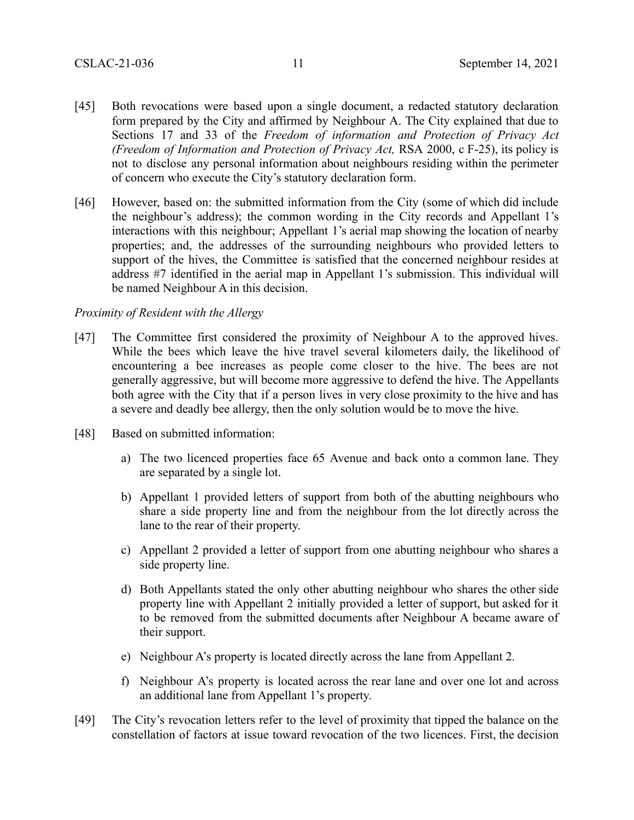- [45] Both revocations were based upon a single document, a redacted statutory declaration form prepared by the City and affirmed by Neighbour A. The City explained that due to Sections 17 and 33 of the *Freedom of information and Protection of Privacy Act (Freedom of Information and Protection of Privacy Act,* RSA 2000, c F-25), its policy is not to disclose any personal information about neighbours residing within the perimeter of concern who execute the City's statutory declaration form.
- [46] However, based on: the submitted information from the City (some of which did include the neighbour's address); the common wording in the City records and Appellant 1's interactions with this neighbour; Appellant 1's aerial map showing the location of nearby properties; and, the addresses of the surrounding neighbours who provided letters to support of the hives, the Committee is satisfied that the concerned neighbour resides at address #7 identified in the aerial map in Appellant 1's submission. This individual will be named Neighbour A in this decision.

### *Proximity of Resident with the Allergy*

- [47] The Committee first considered the proximity of Neighbour A to the approved hives. While the bees which leave the hive travel several kilometers daily, the likelihood of encountering a bee increases as people come closer to the hive. The bees are not generally aggressive, but will become more aggressive to defend the hive. The Appellants both agree with the City that if a person lives in very close proximity to the hive and has a severe and deadly bee allergy, then the only solution would be to move the hive.
- [48] Based on submitted information:
	- a) The two licenced properties face 65 Avenue and back onto a common lane. They are separated by a single lot.
	- b) Appellant 1 provided letters of support from both of the abutting neighbours who share a side property line and from the neighbour from the lot directly across the lane to the rear of their property.
	- c) Appellant 2 provided a letter of support from one abutting neighbour who shares a side property line.
	- d) Both Appellants stated the only other abutting neighbour who shares the other side property line with Appellant 2 initially provided a letter of support, but asked for it to be removed from the submitted documents after Neighbour A became aware of their support.
	- e) Neighbour A's property is located directly across the lane from Appellant 2.
	- f) Neighbour A's property is located across the rear lane and over one lot and across an additional lane from Appellant 1's property.
- [49] The City's revocation letters refer to the level of proximity that tipped the balance on the constellation of factors at issue toward revocation of the two licences. First, the decision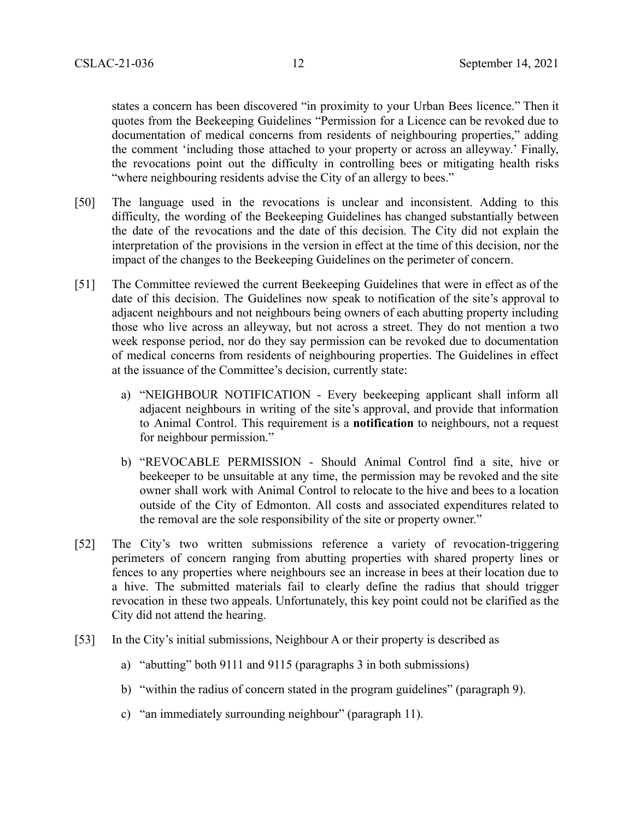states a concern has been discovered "in proximity to your Urban Bees licence." Then it quotes from the Beekeeping Guidelines "Permission for a Licence can be revoked due to documentation of medical concerns from residents of neighbouring properties," adding the comment 'including those attached to your property or across an alleyway.' Finally, the revocations point out the difficulty in controlling bees or mitigating health risks "where neighbouring residents advise the City of an allergy to bees."

- [50] The language used in the revocations is unclear and inconsistent. Adding to this difficulty, the wording of the Beekeeping Guidelines has changed substantially between the date of the revocations and the date of this decision. The City did not explain the interpretation of the provisions in the version in effect at the time of this decision, nor the impact of the changes to the Beekeeping Guidelines on the perimeter of concern.
- [51] The Committee reviewed the current Beekeeping Guidelines that were in effect as of the date of this decision. The Guidelines now speak to notification of the site's approval to adjacent neighbours and not neighbours being owners of each abutting property including those who live across an alleyway, but not across a street. They do not mention a two week response period, nor do they say permission can be revoked due to documentation of medical concerns from residents of neighbouring properties. The Guidelines in effect at the issuance of the Committee's decision, currently state:
	- a) "NEIGHBOUR NOTIFICATION Every beekeeping applicant shall inform all adjacent neighbours in writing of the site's approval, and provide that information to Animal Control. This requirement is a **notification** to neighbours, not a request for neighbour permission."
	- b) "REVOCABLE PERMISSION Should Animal Control find a site, hive or beekeeper to be unsuitable at any time, the permission may be revoked and the site owner shall work with Animal Control to relocate to the hive and bees to a location outside of the City of Edmonton. All costs and associated expenditures related to the removal are the sole responsibility of the site or property owner."
- [52] The City's two written submissions reference a variety of revocation-triggering perimeters of concern ranging from abutting properties with shared property lines or fences to any properties where neighbours see an increase in bees at their location due to a hive. The submitted materials fail to clearly define the radius that should trigger revocation in these two appeals. Unfortunately, this key point could not be clarified as the City did not attend the hearing.
- [53] In the City's initial submissions, Neighbour A or their property is described as
	- a) "abutting" both 9111 and 9115 (paragraphs 3 in both submissions)
	- b) "within the radius of concern stated in the program guidelines" (paragraph 9).
	- c) "an immediately surrounding neighbour" (paragraph 11).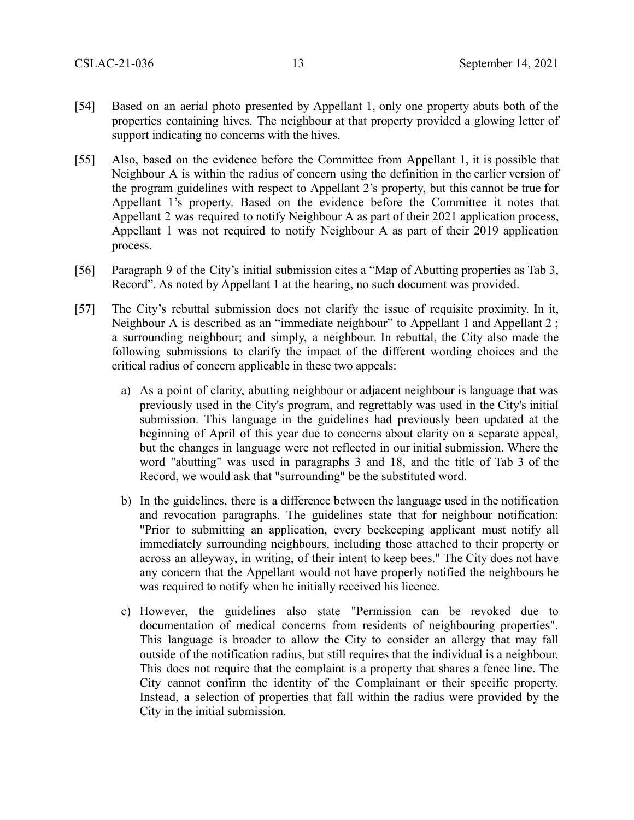- [54] Based on an aerial photo presented by Appellant 1, only one property abuts both of the properties containing hives. The neighbour at that property provided a glowing letter of support indicating no concerns with the hives.
- [55] Also, based on the evidence before the Committee from Appellant 1, it is possible that Neighbour A is within the radius of concern using the definition in the earlier version of the program guidelines with respect to Appellant 2's property, but this cannot be true for Appellant 1's property. Based on the evidence before the Committee it notes that Appellant 2 was required to notify Neighbour A as part of their 2021 application process, Appellant 1 was not required to notify Neighbour A as part of their 2019 application process.
- [56] Paragraph 9 of the City's initial submission cites a "Map of Abutting properties as Tab 3, Record". As noted by Appellant 1 at the hearing, no such document was provided.
- [57] The City's rebuttal submission does not clarify the issue of requisite proximity. In it, Neighbour A is described as an "immediate neighbour" to Appellant 1 and Appellant 2 ; a surrounding neighbour; and simply, a neighbour. In rebuttal, the City also made the following submissions to clarify the impact of the different wording choices and the critical radius of concern applicable in these two appeals:
	- a) As a point of clarity, abutting neighbour or adjacent neighbour is language that was previously used in the City's program, and regrettably was used in the City's initial submission. This language in the guidelines had previously been updated at the beginning of April of this year due to concerns about clarity on a separate appeal, but the changes in language were not reflected in our initial submission. Where the word "abutting" was used in paragraphs 3 and 18, and the title of Tab 3 of the Record, we would ask that "surrounding" be the substituted word.
	- b) In the guidelines, there is a difference between the language used in the notification and revocation paragraphs. The guidelines state that for neighbour notification: "Prior to submitting an application, every beekeeping applicant must notify all immediately surrounding neighbours, including those attached to their property or across an alleyway, in writing, of their intent to keep bees." The City does not have any concern that the Appellant would not have properly notified the neighbours he was required to notify when he initially received his licence.
	- c) However, the guidelines also state "Permission can be revoked due to documentation of medical concerns from residents of neighbouring properties". This language is broader to allow the City to consider an allergy that may fall outside of the notification radius, but still requires that the individual is a neighbour. This does not require that the complaint is a property that shares a fence line. The City cannot confirm the identity of the Complainant or their specific property. Instead, a selection of properties that fall within the radius were provided by the City in the initial submission.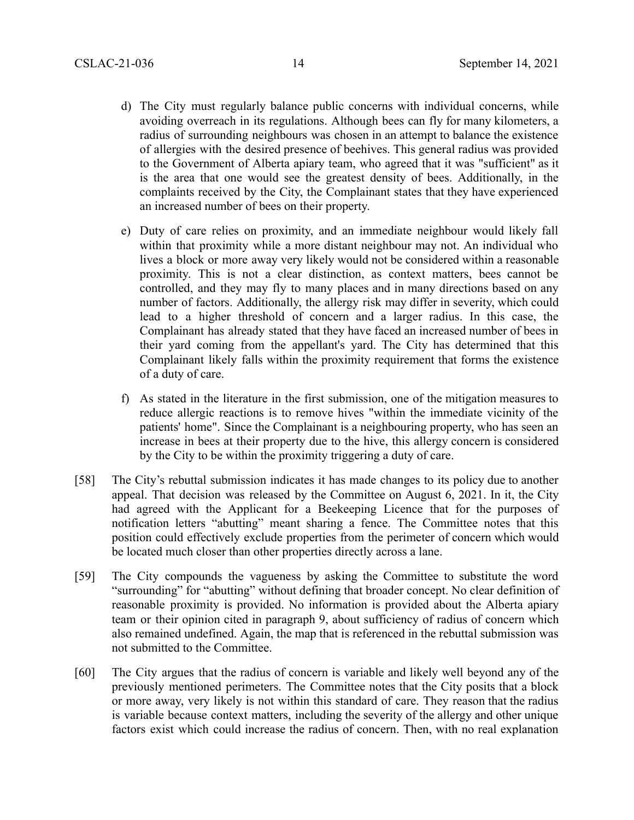- d) The City must regularly balance public concerns with individual concerns, while avoiding overreach in its regulations. Although bees can fly for many kilometers, a radius of surrounding neighbours was chosen in an attempt to balance the existence of allergies with the desired presence of beehives. This general radius was provided to the Government of Alberta apiary team, who agreed that it was "sufficient" as it is the area that one would see the greatest density of bees. Additionally, in the complaints received by the City, the Complainant states that they have experienced an increased number of bees on their property.
- e) Duty of care relies on proximity, and an immediate neighbour would likely fall within that proximity while a more distant neighbour may not. An individual who lives a block or more away very likely would not be considered within a reasonable proximity. This is not a clear distinction, as context matters, bees cannot be controlled, and they may fly to many places and in many directions based on any number of factors. Additionally, the allergy risk may differ in severity, which could lead to a higher threshold of concern and a larger radius. In this case, the Complainant has already stated that they have faced an increased number of bees in their yard coming from the appellant's yard. The City has determined that this Complainant likely falls within the proximity requirement that forms the existence of a duty of care.
- f) As stated in the literature in the first submission, one of the mitigation measures to reduce allergic reactions is to remove hives "within the immediate vicinity of the patients' home". Since the Complainant is a neighbouring property, who has seen an increase in bees at their property due to the hive, this allergy concern is considered by the City to be within the proximity triggering a duty of care.
- [58] The City's rebuttal submission indicates it has made changes to its policy due to another appeal. That decision was released by the Committee on August 6, 2021. In it, the City had agreed with the Applicant for a Beekeeping Licence that for the purposes of notification letters "abutting" meant sharing a fence. The Committee notes that this position could effectively exclude properties from the perimeter of concern which would be located much closer than other properties directly across a lane.
- [59] The City compounds the vagueness by asking the Committee to substitute the word "surrounding" for "abutting" without defining that broader concept. No clear definition of reasonable proximity is provided. No information is provided about the Alberta apiary team or their opinion cited in paragraph 9, about sufficiency of radius of concern which also remained undefined. Again, the map that is referenced in the rebuttal submission was not submitted to the Committee.
- [60] The City argues that the radius of concern is variable and likely well beyond any of the previously mentioned perimeters. The Committee notes that the City posits that a block or more away, very likely is not within this standard of care. They reason that the radius is variable because context matters, including the severity of the allergy and other unique factors exist which could increase the radius of concern. Then, with no real explanation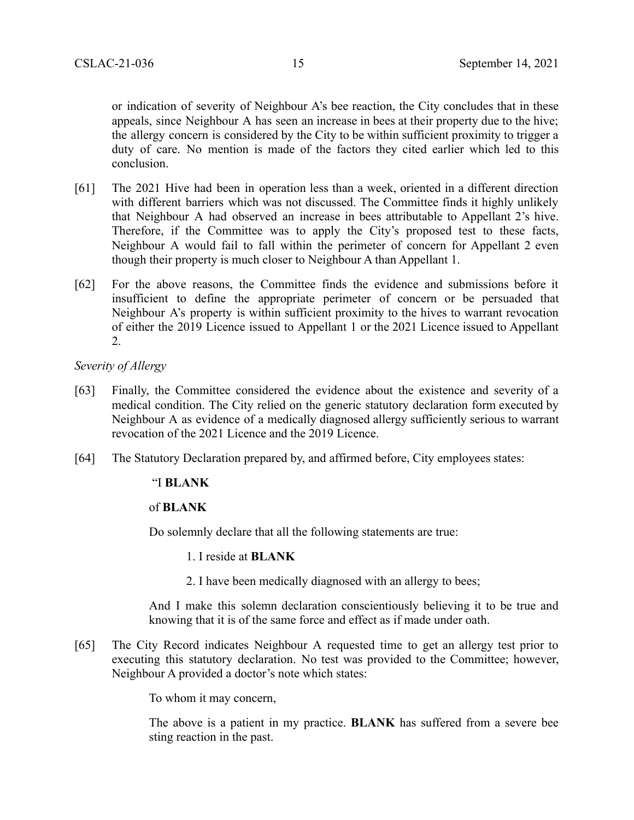or indication of severity of Neighbour A's bee reaction, the City concludes that in these appeals, since Neighbour A has seen an increase in bees at their property due to the hive; the allergy concern is considered by the City to be within sufficient proximity to trigger a duty of care. No mention is made of the factors they cited earlier which led to this conclusion.

- [61] The 2021 Hive had been in operation less than a week, oriented in a different direction with different barriers which was not discussed. The Committee finds it highly unlikely that Neighbour A had observed an increase in bees attributable to Appellant 2's hive. Therefore, if the Committee was to apply the City's proposed test to these facts, Neighbour A would fail to fall within the perimeter of concern for Appellant 2 even though their property is much closer to Neighbour A than Appellant 1.
- [62] For the above reasons, the Committee finds the evidence and submissions before it insufficient to define the appropriate perimeter of concern or be persuaded that Neighbour A's property is within sufficient proximity to the hives to warrant revocation of either the 2019 Licence issued to Appellant 1 or the 2021 Licence issued to Appellant 2.

*Severity of Allergy*

- [63] Finally, the Committee considered the evidence about the existence and severity of a medical condition. The City relied on the generic statutory declaration form executed by Neighbour A as evidence of a medically diagnosed allergy sufficiently serious to warrant revocation of the 2021 Licence and the 2019 Licence.
- [64] The Statutory Declaration prepared by, and affirmed before, City employees states:

#### "I **BLANK**

### of **BLANK**

Do solemnly declare that all the following statements are true:

- 1. I reside at **BLANK**
- 2. I have been medically diagnosed with an allergy to bees;

And I make this solemn declaration conscientiously believing it to be true and knowing that it is of the same force and effect as if made under oath.

[65] The City Record indicates Neighbour A requested time to get an allergy test prior to executing this statutory declaration. No test was provided to the Committee; however, Neighbour A provided a doctor's note which states:

To whom it may concern,

The above is a patient in my practice. **BLANK** has suffered from a severe bee sting reaction in the past.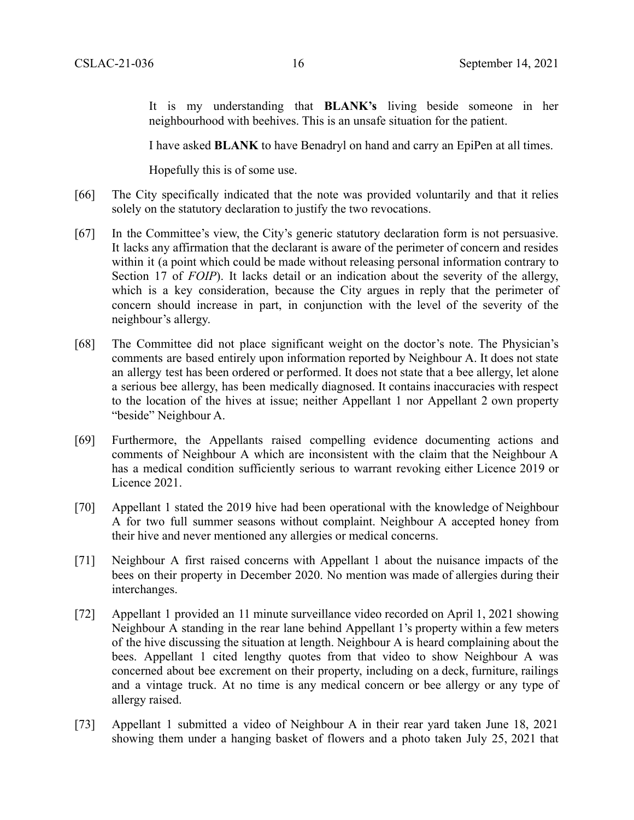It is my understanding that **BLANK's** living beside someone in her neighbourhood with beehives. This is an unsafe situation for the patient.

I have asked **BLANK** to have Benadryl on hand and carry an EpiPen at all times.

Hopefully this is of some use.

- [66] The City specifically indicated that the note was provided voluntarily and that it relies solely on the statutory declaration to justify the two revocations.
- [67] In the Committee's view, the City's generic statutory declaration form is not persuasive. It lacks any affirmation that the declarant is aware of the perimeter of concern and resides within it (a point which could be made without releasing personal information contrary to Section 17 of *FOIP*). It lacks detail or an indication about the severity of the allergy, which is a key consideration, because the City argues in reply that the perimeter of concern should increase in part, in conjunction with the level of the severity of the neighbour's allergy.
- [68] The Committee did not place significant weight on the doctor's note. The Physician's comments are based entirely upon information reported by Neighbour A. It does not state an allergy test has been ordered or performed. It does not state that a bee allergy, let alone a serious bee allergy, has been medically diagnosed. It contains inaccuracies with respect to the location of the hives at issue; neither Appellant 1 nor Appellant 2 own property "beside" Neighbour A.
- [69] Furthermore, the Appellants raised compelling evidence documenting actions and comments of Neighbour A which are inconsistent with the claim that the Neighbour A has a medical condition sufficiently serious to warrant revoking either Licence 2019 or Licence 2021.
- [70] Appellant 1 stated the 2019 hive had been operational with the knowledge of Neighbour A for two full summer seasons without complaint. Neighbour A accepted honey from their hive and never mentioned any allergies or medical concerns.
- [71] Neighbour A first raised concerns with Appellant 1 about the nuisance impacts of the bees on their property in December 2020. No mention was made of allergies during their interchanges.
- [72] Appellant 1 provided an 11 minute surveillance video recorded on April 1, 2021 showing Neighbour A standing in the rear lane behind Appellant 1's property within a few meters of the hive discussing the situation at length. Neighbour A is heard complaining about the bees. Appellant 1 cited lengthy quotes from that video to show Neighbour A was concerned about bee excrement on their property, including on a deck, furniture, railings and a vintage truck. At no time is any medical concern or bee allergy or any type of allergy raised.
- [73] Appellant 1 submitted a video of Neighbour A in their rear yard taken June 18, 2021 showing them under a hanging basket of flowers and a photo taken July 25, 2021 that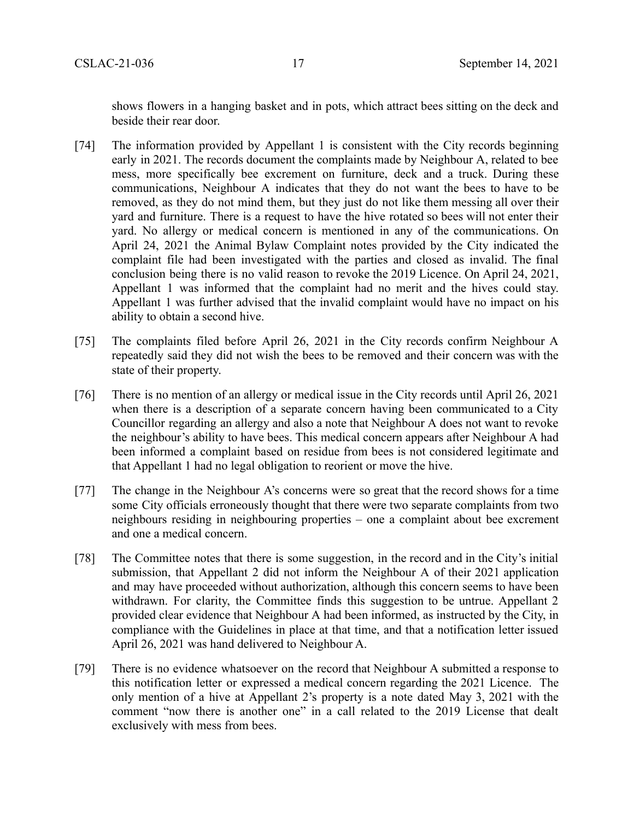shows flowers in a hanging basket and in pots, which attract bees sitting on the deck and beside their rear door.

- [74] The information provided by Appellant 1 is consistent with the City records beginning early in 2021. The records document the complaints made by Neighbour A, related to bee mess, more specifically bee excrement on furniture, deck and a truck. During these communications, Neighbour A indicates that they do not want the bees to have to be removed, as they do not mind them, but they just do not like them messing all over their yard and furniture. There is a request to have the hive rotated so bees will not enter their yard. No allergy or medical concern is mentioned in any of the communications. On April 24, 2021 the Animal Bylaw Complaint notes provided by the City indicated the complaint file had been investigated with the parties and closed as invalid. The final conclusion being there is no valid reason to revoke the 2019 Licence. On April 24, 2021, Appellant 1 was informed that the complaint had no merit and the hives could stay. Appellant 1 was further advised that the invalid complaint would have no impact on his ability to obtain a second hive.
- [75] The complaints filed before April 26, 2021 in the City records confirm Neighbour A repeatedly said they did not wish the bees to be removed and their concern was with the state of their property.
- [76] There is no mention of an allergy or medical issue in the City records until April 26, 2021 when there is a description of a separate concern having been communicated to a City Councillor regarding an allergy and also a note that Neighbour A does not want to revoke the neighbour's ability to have bees. This medical concern appears after Neighbour A had been informed a complaint based on residue from bees is not considered legitimate and that Appellant 1 had no legal obligation to reorient or move the hive.
- [77] The change in the Neighbour A's concerns were so great that the record shows for a time some City officials erroneously thought that there were two separate complaints from two neighbours residing in neighbouring properties – one a complaint about bee excrement and one a medical concern.
- [78] The Committee notes that there is some suggestion, in the record and in the City's initial submission, that Appellant 2 did not inform the Neighbour A of their 2021 application and may have proceeded without authorization, although this concern seems to have been withdrawn. For clarity, the Committee finds this suggestion to be untrue. Appellant 2 provided clear evidence that Neighbour A had been informed, as instructed by the City, in compliance with the Guidelines in place at that time, and that a notification letter issued April 26, 2021 was hand delivered to Neighbour A.
- [79] There is no evidence whatsoever on the record that Neighbour A submitted a response to this notification letter or expressed a medical concern regarding the 2021 Licence. The only mention of a hive at Appellant 2's property is a note dated May 3, 2021 with the comment "now there is another one" in a call related to the 2019 License that dealt exclusively with mess from bees.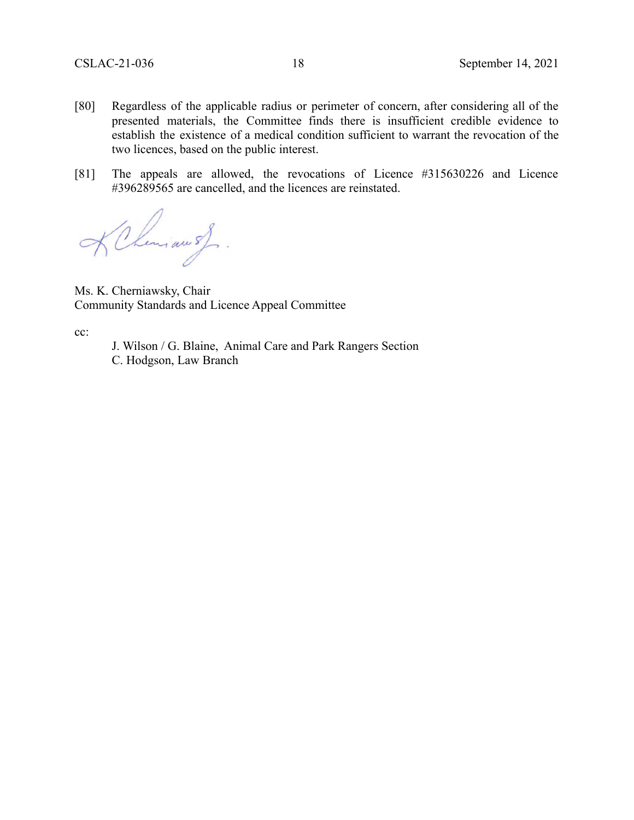- [80] Regardless of the applicable radius or perimeter of concern, after considering all of the presented materials, the Committee finds there is insufficient credible evidence to establish the existence of a medical condition sufficient to warrant the revocation of the two licences, based on the public interest.
- [81] The appeals are allowed, the revocations of Licence #315630226 and Licence #396289565 are cancelled, and the licences are reinstated.

KChiman of.

Ms. K. Cherniawsky, Chair Community Standards and Licence Appeal Committee

cc:

J. Wilson / G. Blaine, Animal Care and Park Rangers Section C. Hodgson, Law Branch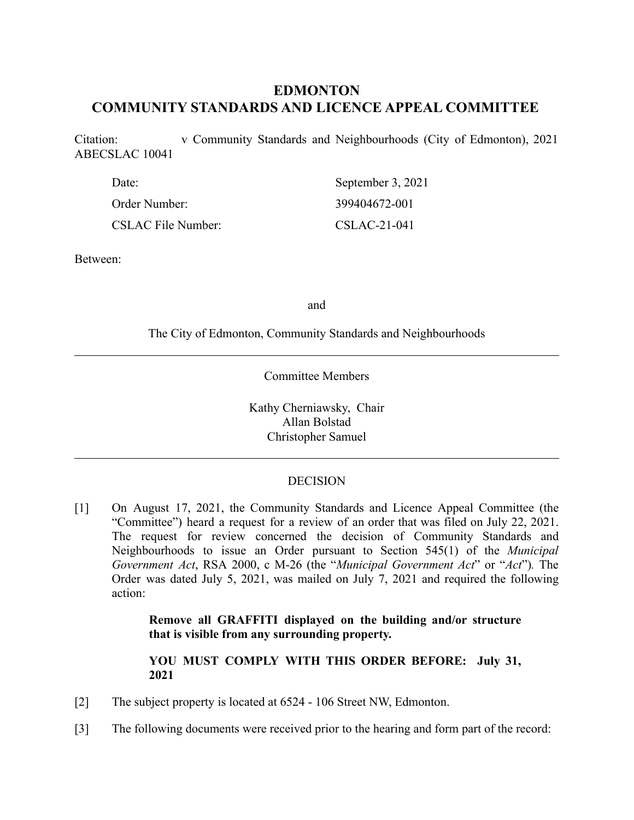# **EDMONTON COMMUNITY STANDARDS AND LICENCE APPEAL COMMITTEE**

Citation: v Community Standards and Neighbourhoods (City of Edmonton), 2021 ABECSLAC 10041

| Date:                     | September 3, 2021 |
|---------------------------|-------------------|
| Order Number:             | 399404672-001     |
| <b>CSLAC File Number:</b> | $CSLAC-21-041$    |

Between:

and

The City of Edmonton, Community Standards and Neighbourhoods

Committee Members

Kathy Cherniawsky, Chair Allan Bolstad Christopher Samuel

### DECISION

[1] On August 17, 2021, the Community Standards and Licence Appeal Committee (the "Committee") heard a request for a review of an order that was filed on July 22, 2021. The request for review concerned the decision of Community Standards and Neighbourhoods to issue an Order pursuant to Section 545(1) of the *Municipal Government Act*, RSA 2000, c M-26 (the "*Municipal Government Act*" or "*Act*")*.* The Order was dated July 5, 2021, was mailed on July 7, 2021 and required the following action:

> **Remove all GRAFFITI displayed on the building and/or structure that is visible from any surrounding property.**

> **YOU MUST COMPLY WITH THIS ORDER BEFORE: July 31, 2021**

- [2] The subject property is located at 6524 106 Street NW, Edmonton.
- [3] The following documents were received prior to the hearing and form part of the record: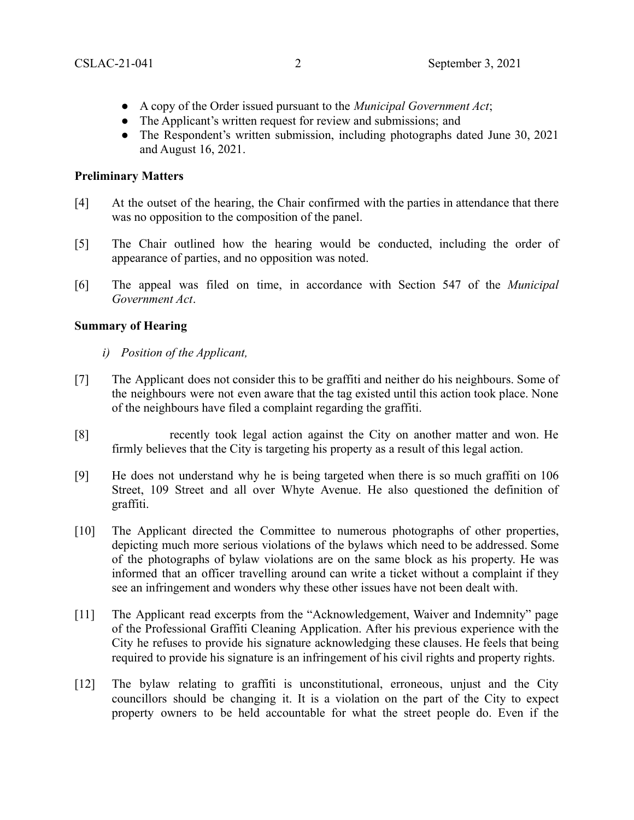- A copy of the Order issued pursuant to the *Municipal Government Act*;
- The Applicant's written request for review and submissions; and
- The Respondent's written submission, including photographs dated June 30, 2021 and August 16, 2021.

### **Preliminary Matters**

- [4] At the outset of the hearing, the Chair confirmed with the parties in attendance that there was no opposition to the composition of the panel.
- [5] The Chair outlined how the hearing would be conducted, including the order of appearance of parties, and no opposition was noted.
- [6] The appeal was filed on time, in accordance with Section 547 of the *Municipal Government Act*.

## **Summary of Hearing**

- *i) Position of the Applicant,*
- [7] The Applicant does not consider this to be graffiti and neither do his neighbours. Some of the neighbours were not even aware that the tag existed until this action took place. None of the neighbours have filed a complaint regarding the graffiti.
- [8] recently took legal action against the City on another matter and won. He firmly believes that the City is targeting his property as a result of this legal action.
- [9] He does not understand why he is being targeted when there is so much graffiti on 106 Street, 109 Street and all over Whyte Avenue. He also questioned the definition of graffiti.
- [10] The Applicant directed the Committee to numerous photographs of other properties, depicting much more serious violations of the bylaws which need to be addressed. Some of the photographs of bylaw violations are on the same block as his property. He was informed that an officer travelling around can write a ticket without a complaint if they see an infringement and wonders why these other issues have not been dealt with.
- [11] The Applicant read excerpts from the "Acknowledgement, Waiver and Indemnity" page of the Professional Graffiti Cleaning Application. After his previous experience with the City he refuses to provide his signature acknowledging these clauses. He feels that being required to provide his signature is an infringement of his civil rights and property rights.
- [12] The bylaw relating to graffiti is unconstitutional, erroneous, unjust and the City councillors should be changing it. It is a violation on the part of the City to expect property owners to be held accountable for what the street people do. Even if the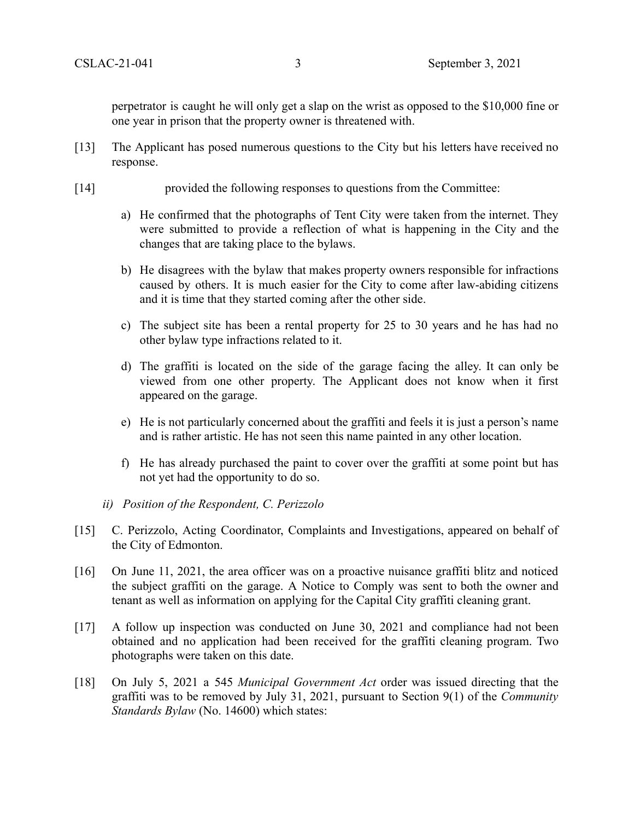perpetrator is caught he will only get a slap on the wrist as opposed to the \$10,000 fine or one year in prison that the property owner is threatened with.

- [13] The Applicant has posed numerous questions to the City but his letters have received no response.
- [14] provided the following responses to questions from the Committee:
	- a) He confirmed that the photographs of Tent City were taken from the internet. They were submitted to provide a reflection of what is happening in the City and the changes that are taking place to the bylaws.
	- b) He disagrees with the bylaw that makes property owners responsible for infractions caused by others. It is much easier for the City to come after law-abiding citizens and it is time that they started coming after the other side.
	- c) The subject site has been a rental property for 25 to 30 years and he has had no other bylaw type infractions related to it.
	- d) The graffiti is located on the side of the garage facing the alley. It can only be viewed from one other property. The Applicant does not know when it first appeared on the garage.
	- e) He is not particularly concerned about the graffiti and feels it is just a person's name and is rather artistic. He has not seen this name painted in any other location.
	- f) He has already purchased the paint to cover over the graffiti at some point but has not yet had the opportunity to do so.
	- *ii) Position of the Respondent, C. Perizzolo*
- [15] C. Perizzolo, Acting Coordinator, Complaints and Investigations, appeared on behalf of the City of Edmonton.
- [16] On June 11, 2021, the area officer was on a proactive nuisance graffiti blitz and noticed the subject graffiti on the garage. A Notice to Comply was sent to both the owner and tenant as well as information on applying for the Capital City graffiti cleaning grant.
- [17] A follow up inspection was conducted on June 30, 2021 and compliance had not been obtained and no application had been received for the graffiti cleaning program. Two photographs were taken on this date.
- [18] On July 5, 2021 a 545 *Municipal Government Act* order was issued directing that the graffiti was to be removed by July 31, 2021, pursuant to Section 9(1) of the *Community Standards Bylaw* (No. 14600) which states: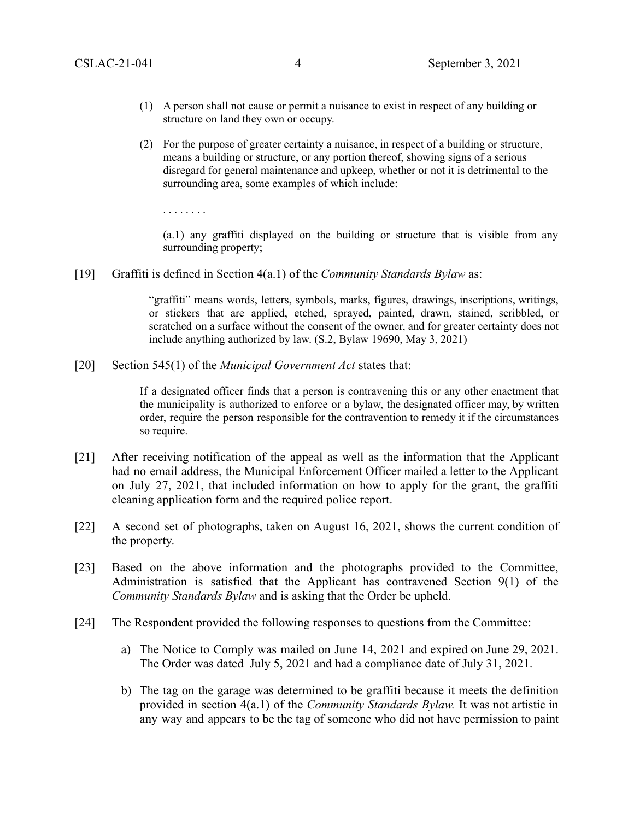- (1) A person shall not cause or permit a nuisance to exist in respect of any building or structure on land they own or occupy.
- (2) For the purpose of greater certainty a nuisance, in respect of a building or structure, means a building or structure, or any portion thereof, showing signs of a serious disregard for general maintenance and upkeep, whether or not it is detrimental to the surrounding area, some examples of which include:

. . . . . . . .

(a.1) any graffiti displayed on the building or structure that is visible from any surrounding property;

[19] Graffiti is defined in Section 4(a.1) of the *Community Standards Bylaw* as:

"graffiti" means words, letters, symbols, marks, figures, drawings, inscriptions, writings, or stickers that are applied, etched, sprayed, painted, drawn, stained, scribbled, or scratched on a surface without the consent of the owner, and for greater certainty does not include anything authorized by law. (S.2, Bylaw 19690, May 3, 2021)

[20] Section 545(1) of the *Municipal Government Act* states that:

If a designated officer finds that a person is contravening this or any other enactment that the municipality is authorized to enforce or a bylaw, the designated officer may, by written order, require the person responsible for the contravention to remedy it if the circumstances so require.

- [21] After receiving notification of the appeal as well as the information that the Applicant had no email address, the Municipal Enforcement Officer mailed a letter to the Applicant on July 27, 2021, that included information on how to apply for the grant, the graffiti cleaning application form and the required police report.
- [22] A second set of photographs, taken on August 16, 2021, shows the current condition of the property.
- [23] Based on the above information and the photographs provided to the Committee, Administration is satisfied that the Applicant has contravened Section 9(1) of the *Community Standards Bylaw* and is asking that the Order be upheld.
- [24] The Respondent provided the following responses to questions from the Committee:
	- a) The Notice to Comply was mailed on June 14, 2021 and expired on June 29, 2021. The Order was dated July 5, 2021 and had a compliance date of July 31, 2021.
	- b) The tag on the garage was determined to be graffiti because it meets the definition provided in section 4(a.1) of the *Community Standards Bylaw.* It was not artistic in any way and appears to be the tag of someone who did not have permission to paint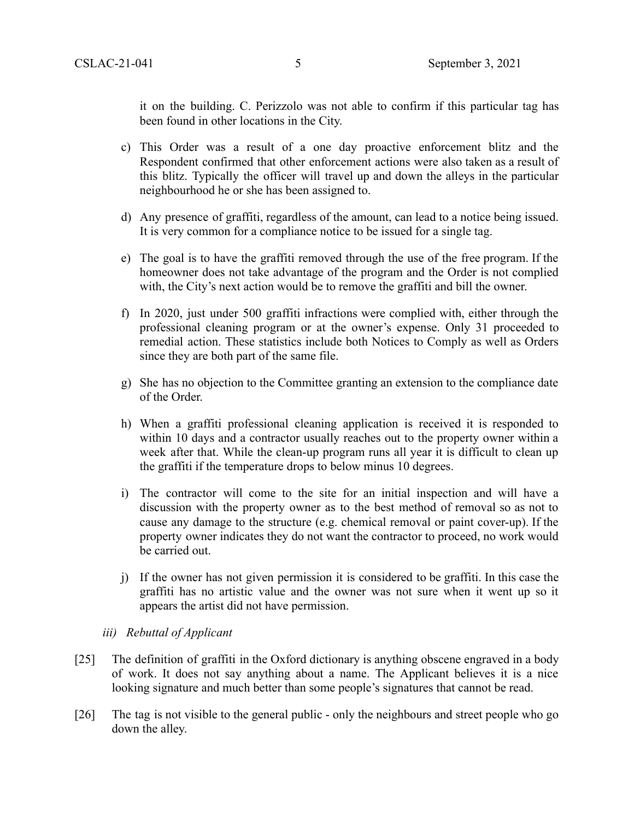it on the building. C. Perizzolo was not able to confirm if this particular tag has been found in other locations in the City.

- c) This Order was a result of a one day proactive enforcement blitz and the Respondent confirmed that other enforcement actions were also taken as a result of this blitz. Typically the officer will travel up and down the alleys in the particular neighbourhood he or she has been assigned to.
- d) Any presence of graffiti, regardless of the amount, can lead to a notice being issued. It is very common for a compliance notice to be issued for a single tag.
- e) The goal is to have the graffiti removed through the use of the free program. If the homeowner does not take advantage of the program and the Order is not complied with, the City's next action would be to remove the graffiti and bill the owner.
- f) In 2020, just under 500 graffiti infractions were complied with, either through the professional cleaning program or at the owner's expense. Only 31 proceeded to remedial action. These statistics include both Notices to Comply as well as Orders since they are both part of the same file.
- g) She has no objection to the Committee granting an extension to the compliance date of the Order.
- h) When a graffiti professional cleaning application is received it is responded to within 10 days and a contractor usually reaches out to the property owner within a week after that. While the clean-up program runs all year it is difficult to clean up the graffiti if the temperature drops to below minus 10 degrees.
- i) The contractor will come to the site for an initial inspection and will have a discussion with the property owner as to the best method of removal so as not to cause any damage to the structure (e.g. chemical removal or paint cover-up). If the property owner indicates they do not want the contractor to proceed, no work would be carried out.
- j) If the owner has not given permission it is considered to be graffiti. In this case the graffiti has no artistic value and the owner was not sure when it went up so it appears the artist did not have permission.
- *iii) Rebuttal of Applicant*
- [25] The definition of graffiti in the Oxford dictionary is anything obscene engraved in a body of work. It does not say anything about a name. The Applicant believes it is a nice looking signature and much better than some people's signatures that cannot be read.
- [26] The tag is not visible to the general public only the neighbours and street people who go down the alley.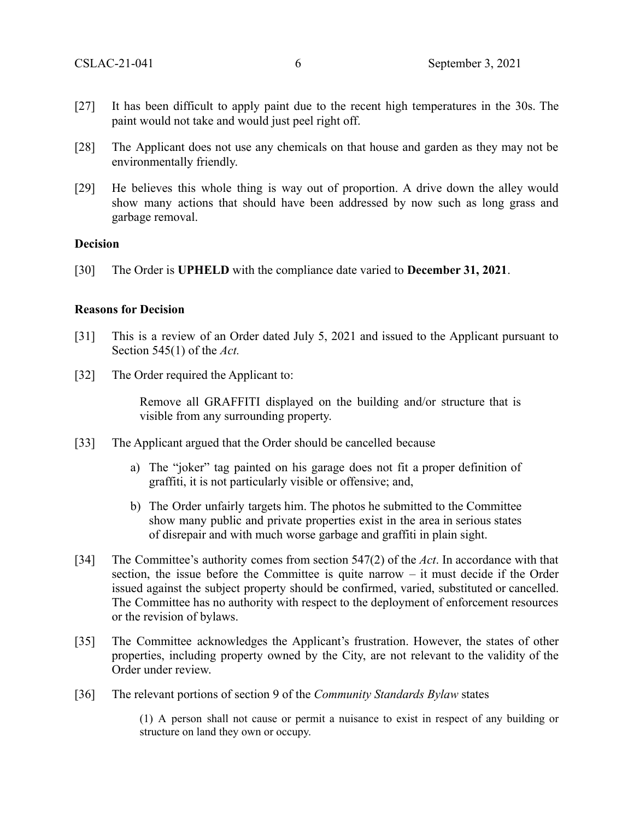- [27] It has been difficult to apply paint due to the recent high temperatures in the 30s. The paint would not take and would just peel right off.
- [28] The Applicant does not use any chemicals on that house and garden as they may not be environmentally friendly.
- [29] He believes this whole thing is way out of proportion. A drive down the alley would show many actions that should have been addressed by now such as long grass and garbage removal.

#### **Decision**

[30] The Order is **UPHELD** with the compliance date varied to **December 31, 2021**.

### **Reasons for Decision**

- [31] This is a review of an Order dated July 5, 2021 and issued to the Applicant pursuant to Section 545(1) of the *Act.*
- [32] The Order required the Applicant to:

Remove all GRAFFITI displayed on the building and/or structure that is visible from any surrounding property.

- [33] The Applicant argued that the Order should be cancelled because
	- a) The "joker" tag painted on his garage does not fit a proper definition of graffiti, it is not particularly visible or offensive; and,
	- b) The Order unfairly targets him. The photos he submitted to the Committee show many public and private properties exist in the area in serious states of disrepair and with much worse garbage and graffiti in plain sight.
- [34] The Committee's authority comes from section 547(2) of the *Act*. In accordance with that section, the issue before the Committee is quite narrow – it must decide if the Order issued against the subject property should be confirmed, varied, substituted or cancelled. The Committee has no authority with respect to the deployment of enforcement resources or the revision of bylaws.
- [35] The Committee acknowledges the Applicant's frustration. However, the states of other properties, including property owned by the City, are not relevant to the validity of the Order under review.
- [36] The relevant portions of section 9 of the *Community Standards Bylaw* states

(1) A person shall not cause or permit a nuisance to exist in respect of any building or structure on land they own or occupy.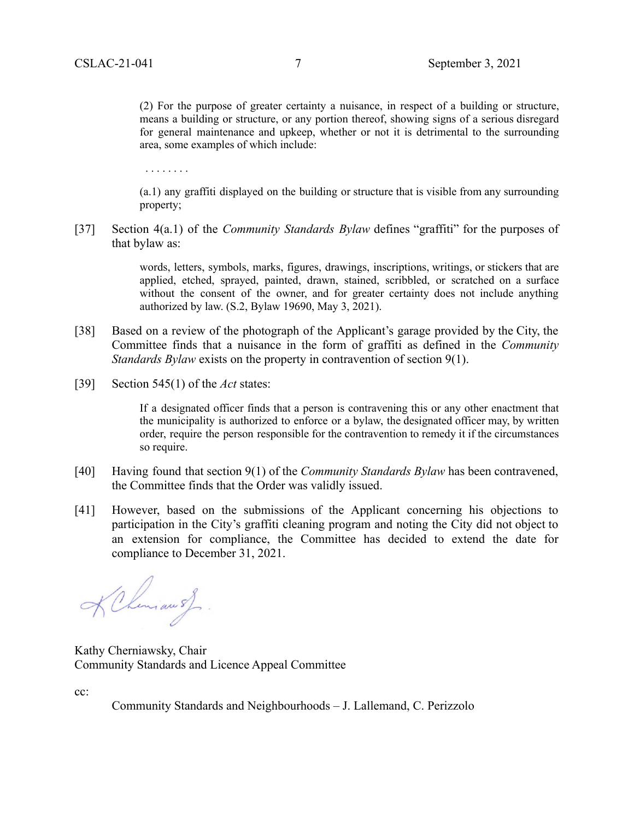(2) For the purpose of greater certainty a nuisance, in respect of a building or structure, means a building or structure, or any portion thereof, showing signs of a serious disregard for general maintenance and upkeep, whether or not it is detrimental to the surrounding area, some examples of which include:

. . . . . . . .

(a.1) any graffiti displayed on the building or structure that is visible from any surrounding property;

[37] Section 4(a.1) of the *Community Standards Bylaw* defines "graffiti" for the purposes of that bylaw as:

> words, letters, symbols, marks, figures, drawings, inscriptions, writings, or stickers that are applied, etched, sprayed, painted, drawn, stained, scribbled, or scratched on a surface without the consent of the owner, and for greater certainty does not include anything authorized by law. (S.2, Bylaw 19690, May 3, 2021).

- [38] Based on a review of the photograph of the Applicant's garage provided by the City, the Committee finds that a nuisance in the form of graffiti as defined in the *Community Standards Bylaw* exists on the property in contravention of section 9(1).
- [39] Section 545(1) of the *Act* states:

If a designated officer finds that a person is contravening this or any other enactment that the municipality is authorized to enforce or a bylaw, the designated officer may, by written order, require the person responsible for the contravention to remedy it if the circumstances so require.

- [40] Having found that section 9(1) of the *Community Standards Bylaw* has been contravened, the Committee finds that the Order was validly issued.
- [41] However, based on the submissions of the Applicant concerning his objections to participation in the City's graffiti cleaning program and noting the City did not object to an extension for compliance, the Committee has decided to extend the date for compliance to December 31, 2021.

KChimawsJ.

Kathy Cherniawsky, Chair Community Standards and Licence Appeal Committee

cc:

Community Standards and Neighbourhoods – J. Lallemand, C. Perizzolo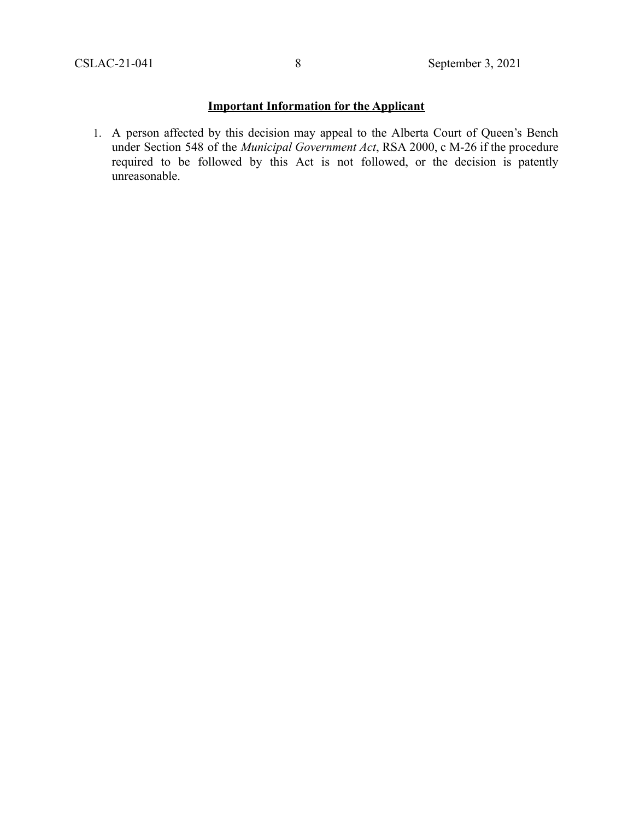# **Important Information for the Applicant**

1. A person affected by this decision may appeal to the Alberta Court of Queen's Bench under Section 548 of the *Municipal Government Act*, RSA 2000, c M-26 if the procedure required to be followed by this Act is not followed, or the decision is patently unreasonable.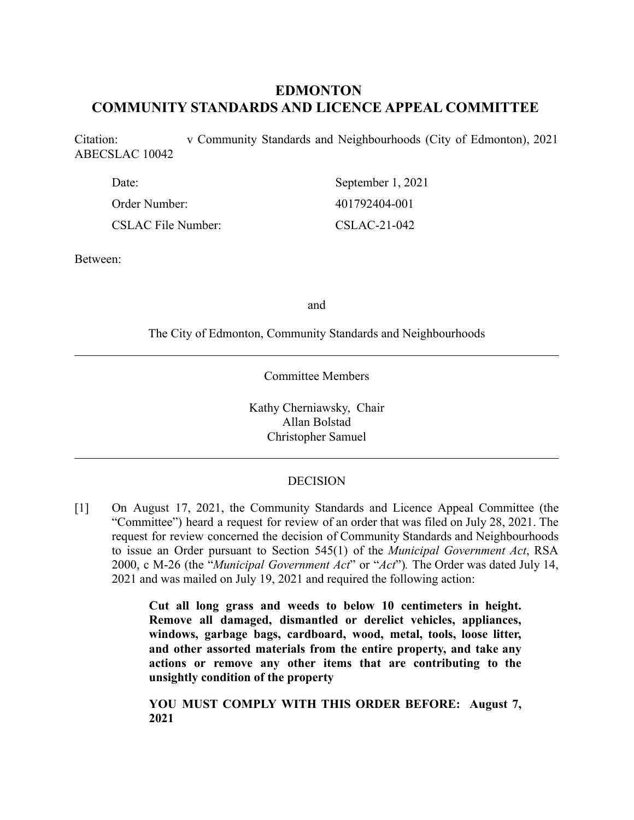# **EDMONTON COMMUNITY STANDARDS AND LICENCE APPEAL COMMITTEE**

Citation: v Community Standards and Neighbourhoods (City of Edmonton), 2021 ABECSLAC 10042

| Date:              | September 1, 2021 |
|--------------------|-------------------|
| Order Number:      | 401792404-001     |
| CSLAC File Number: | $CSLAC-21-042$    |

Between:

and

The City of Edmonton, Community Standards and Neighbourhoods

Committee Members

Kathy Cherniawsky, Chair Allan Bolstad Christopher Samuel

### DECISION

[1] On August 17, 2021, the Community Standards and Licence Appeal Committee (the "Committee") heard a request for review of an order that was filed on July 28, 2021. The request for review concerned the decision of Community Standards and Neighbourhoods to issue an Order pursuant to Section 545(1) of the *Municipal Government Act*, RSA 2000, c M-26 (the "*Municipal Government Act*" or "*Act*")*.* The Order was dated July 14, 2021 and was mailed on July 19, 2021 and required the following action:

> **Cut all long grass and weeds to below 10 centimeters in height. Remove all damaged, dismantled or derelict vehicles, appliances, windows, garbage bags, cardboard, wood, metal, tools, loose litter, and other assorted materials from the entire property, and take any actions or remove any other items that are contributing to the unsightly condition of the property**

> **YOU MUST COMPLY WITH THIS ORDER BEFORE: August 7, 2021**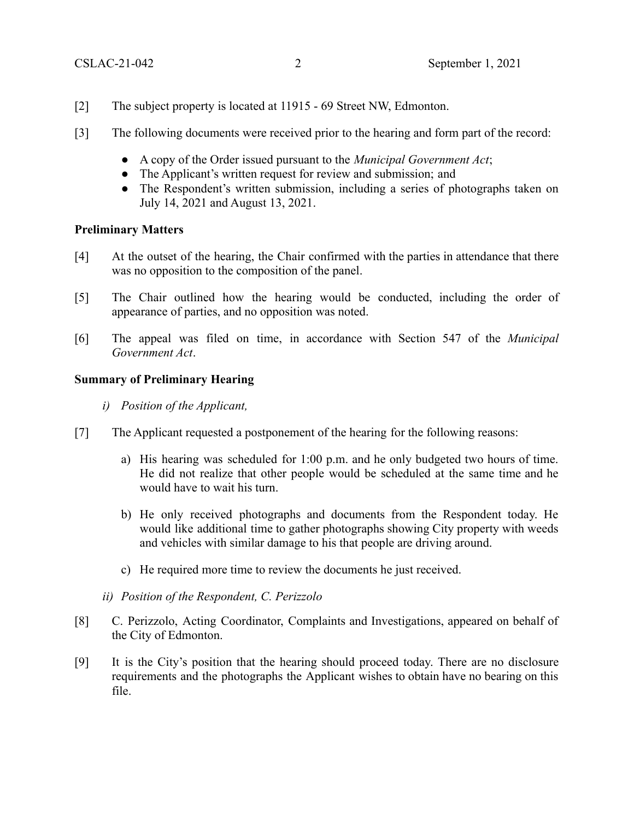- [2] The subject property is located at 11915 69 Street NW, Edmonton.
- [3] The following documents were received prior to the hearing and form part of the record:
	- A copy of the Order issued pursuant to the *Municipal Government Act*;
	- The Applicant's written request for review and submission; and
	- The Respondent's written submission, including a series of photographs taken on July 14, 2021 and August 13, 2021.

### **Preliminary Matters**

- [4] At the outset of the hearing, the Chair confirmed with the parties in attendance that there was no opposition to the composition of the panel.
- [5] The Chair outlined how the hearing would be conducted, including the order of appearance of parties, and no opposition was noted.
- [6] The appeal was filed on time, in accordance with Section 547 of the *Municipal Government Act*.

### **Summary of Preliminary Hearing**

- *i) Position of the Applicant,*
- [7] The Applicant requested a postponement of the hearing for the following reasons:
	- a) His hearing was scheduled for 1:00 p.m. and he only budgeted two hours of time. He did not realize that other people would be scheduled at the same time and he would have to wait his turn.
	- b) He only received photographs and documents from the Respondent today. He would like additional time to gather photographs showing City property with weeds and vehicles with similar damage to his that people are driving around.
	- c) He required more time to review the documents he just received.
	- *ii) Position of the Respondent, C. Perizzolo*
- [8] C. Perizzolo, Acting Coordinator, Complaints and Investigations, appeared on behalf of the City of Edmonton.
- [9] It is the City's position that the hearing should proceed today. There are no disclosure requirements and the photographs the Applicant wishes to obtain have no bearing on this file.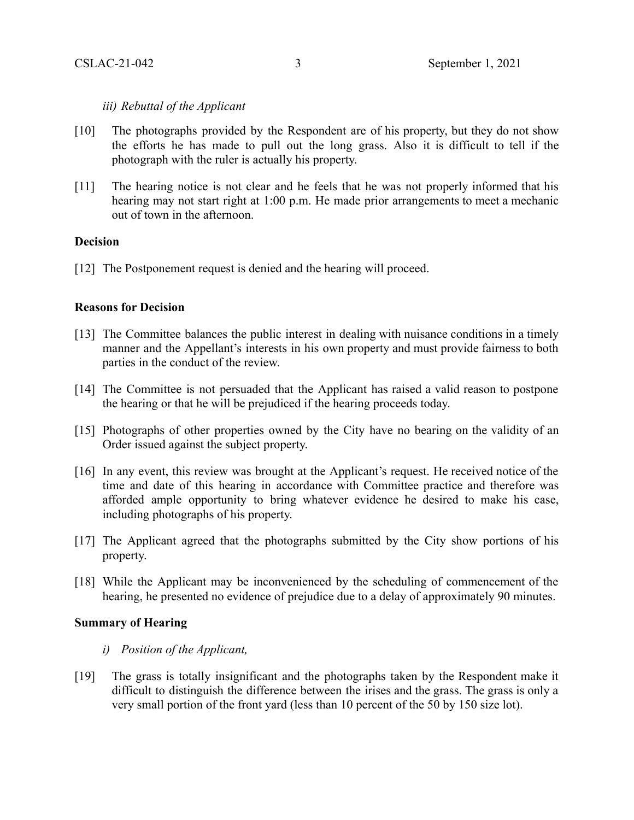### *iii) Rebuttal of the Applicant*

- [10] The photographs provided by the Respondent are of his property, but they do not show the efforts he has made to pull out the long grass. Also it is difficult to tell if the photograph with the ruler is actually his property.
- [11] The hearing notice is not clear and he feels that he was not properly informed that his hearing may not start right at 1:00 p.m. He made prior arrangements to meet a mechanic out of town in the afternoon.

## **Decision**

[12] The Postponement request is denied and the hearing will proceed.

### **Reasons for Decision**

- [13] The Committee balances the public interest in dealing with nuisance conditions in a timely manner and the Appellant's interests in his own property and must provide fairness to both parties in the conduct of the review.
- [14] The Committee is not persuaded that the Applicant has raised a valid reason to postpone the hearing or that he will be prejudiced if the hearing proceeds today.
- [15] Photographs of other properties owned by the City have no bearing on the validity of an Order issued against the subject property.
- [16] In any event, this review was brought at the Applicant's request. He received notice of the time and date of this hearing in accordance with Committee practice and therefore was afforded ample opportunity to bring whatever evidence he desired to make his case, including photographs of his property.
- [17] The Applicant agreed that the photographs submitted by the City show portions of his property.
- [18] While the Applicant may be inconvenienced by the scheduling of commencement of the hearing, he presented no evidence of prejudice due to a delay of approximately 90 minutes.

### **Summary of Hearing**

- *i) Position of the Applicant,*
- [19] The grass is totally insignificant and the photographs taken by the Respondent make it difficult to distinguish the difference between the irises and the grass. The grass is only a very small portion of the front yard (less than 10 percent of the 50 by 150 size lot).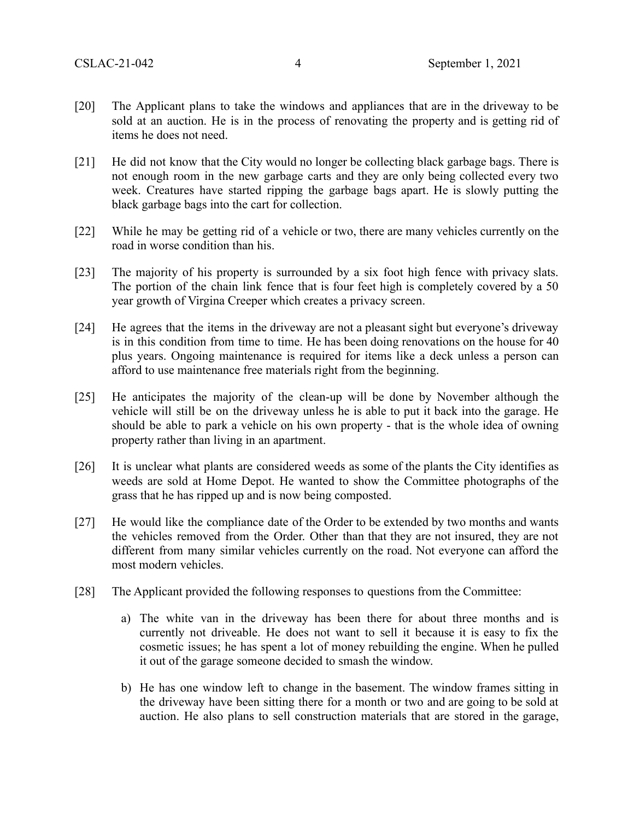- [20] The Applicant plans to take the windows and appliances that are in the driveway to be sold at an auction. He is in the process of renovating the property and is getting rid of items he does not need.
- [21] He did not know that the City would no longer be collecting black garbage bags. There is not enough room in the new garbage carts and they are only being collected every two week. Creatures have started ripping the garbage bags apart. He is slowly putting the black garbage bags into the cart for collection.
- [22] While he may be getting rid of a vehicle or two, there are many vehicles currently on the road in worse condition than his.
- [23] The majority of his property is surrounded by a six foot high fence with privacy slats. The portion of the chain link fence that is four feet high is completely covered by a 50 year growth of Virgina Creeper which creates a privacy screen.
- [24] He agrees that the items in the driveway are not a pleasant sight but everyone's driveway is in this condition from time to time. He has been doing renovations on the house for 40 plus years. Ongoing maintenance is required for items like a deck unless a person can afford to use maintenance free materials right from the beginning.
- [25] He anticipates the majority of the clean-up will be done by November although the vehicle will still be on the driveway unless he is able to put it back into the garage. He should be able to park a vehicle on his own property - that is the whole idea of owning property rather than living in an apartment.
- [26] It is unclear what plants are considered weeds as some of the plants the City identifies as weeds are sold at Home Depot. He wanted to show the Committee photographs of the grass that he has ripped up and is now being composted.
- [27] He would like the compliance date of the Order to be extended by two months and wants the vehicles removed from the Order. Other than that they are not insured, they are not different from many similar vehicles currently on the road. Not everyone can afford the most modern vehicles.
- [28] The Applicant provided the following responses to questions from the Committee:
	- a) The white van in the driveway has been there for about three months and is currently not driveable. He does not want to sell it because it is easy to fix the cosmetic issues; he has spent a lot of money rebuilding the engine. When he pulled it out of the garage someone decided to smash the window.
	- b) He has one window left to change in the basement. The window frames sitting in the driveway have been sitting there for a month or two and are going to be sold at auction. He also plans to sell construction materials that are stored in the garage,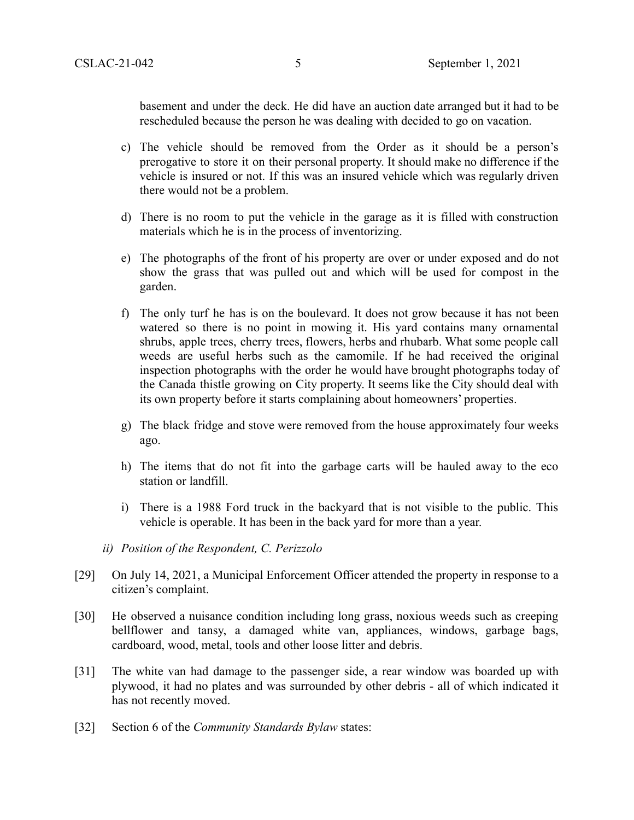basement and under the deck. He did have an auction date arranged but it had to be rescheduled because the person he was dealing with decided to go on vacation.

- c) The vehicle should be removed from the Order as it should be a person's prerogative to store it on their personal property. It should make no difference if the vehicle is insured or not. If this was an insured vehicle which was regularly driven there would not be a problem.
- d) There is no room to put the vehicle in the garage as it is filled with construction materials which he is in the process of inventorizing.
- e) The photographs of the front of his property are over or under exposed and do not show the grass that was pulled out and which will be used for compost in the garden.
- f) The only turf he has is on the boulevard. It does not grow because it has not been watered so there is no point in mowing it. His yard contains many ornamental shrubs, apple trees, cherry trees, flowers, herbs and rhubarb. What some people call weeds are useful herbs such as the camomile. If he had received the original inspection photographs with the order he would have brought photographs today of the Canada thistle growing on City property. It seems like the City should deal with its own property before it starts complaining about homeowners' properties.
- g) The black fridge and stove were removed from the house approximately four weeks ago.
- h) The items that do not fit into the garbage carts will be hauled away to the eco station or landfill.
- i) There is a 1988 Ford truck in the backyard that is not visible to the public. This vehicle is operable. It has been in the back yard for more than a year.
- *ii) Position of the Respondent, C. Perizzolo*
- [29] On July 14, 2021, a Municipal Enforcement Officer attended the property in response to a citizen's complaint.
- [30] He observed a nuisance condition including long grass, noxious weeds such as creeping bellflower and tansy, a damaged white van, appliances, windows, garbage bags, cardboard, wood, metal, tools and other loose litter and debris.
- [31] The white van had damage to the passenger side, a rear window was boarded up with plywood, it had no plates and was surrounded by other debris - all of which indicated it has not recently moved.
- [32] Section 6 of the *Community Standards Bylaw* states: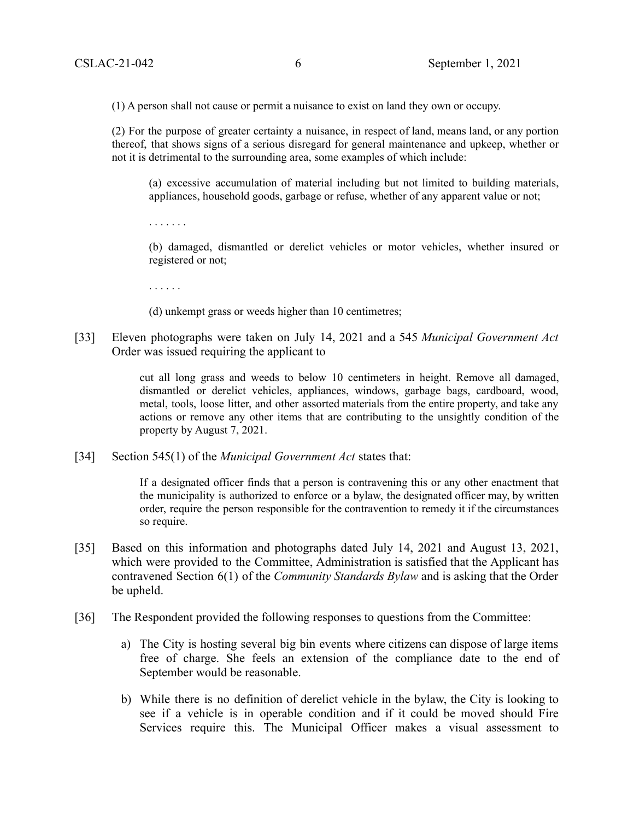(1) A person shall not cause or permit a nuisance to exist on land they own or occupy.

(2) For the purpose of greater certainty a nuisance, in respect of land, means land, or any portion thereof, that shows signs of a serious disregard for general maintenance and upkeep, whether or not it is detrimental to the surrounding area, some examples of which include:

(a) excessive accumulation of material including but not limited to building materials, appliances, household goods, garbage or refuse, whether of any apparent value or not;

. . . . . . .

(b) damaged, dismantled or derelict vehicles or motor vehicles, whether insured or registered or not;

. . . . . .

(d) unkempt grass or weeds higher than 10 centimetres;

[33] Eleven photographs were taken on July 14, 2021 and a 545 *Municipal Government Act* Order was issued requiring the applicant to

> cut all long grass and weeds to below 10 centimeters in height. Remove all damaged, dismantled or derelict vehicles, appliances, windows, garbage bags, cardboard, wood, metal, tools, loose litter, and other assorted materials from the entire property, and take any actions or remove any other items that are contributing to the unsightly condition of the property by August 7, 2021.

[34] Section 545(1) of the *Municipal Government Act* states that:

If a designated officer finds that a person is contravening this or any other enactment that the municipality is authorized to enforce or a bylaw, the designated officer may, by written order, require the person responsible for the contravention to remedy it if the circumstances so require.

- [35] Based on this information and photographs dated July 14, 2021 and August 13, 2021, which were provided to the Committee, Administration is satisfied that the Applicant has contravened Section 6(1) of the *Community Standards Bylaw* and is asking that the Order be upheld.
- [36] The Respondent provided the following responses to questions from the Committee:
	- a) The City is hosting several big bin events where citizens can dispose of large items free of charge. She feels an extension of the compliance date to the end of September would be reasonable.
	- b) While there is no definition of derelict vehicle in the bylaw, the City is looking to see if a vehicle is in operable condition and if it could be moved should Fire Services require this. The Municipal Officer makes a visual assessment to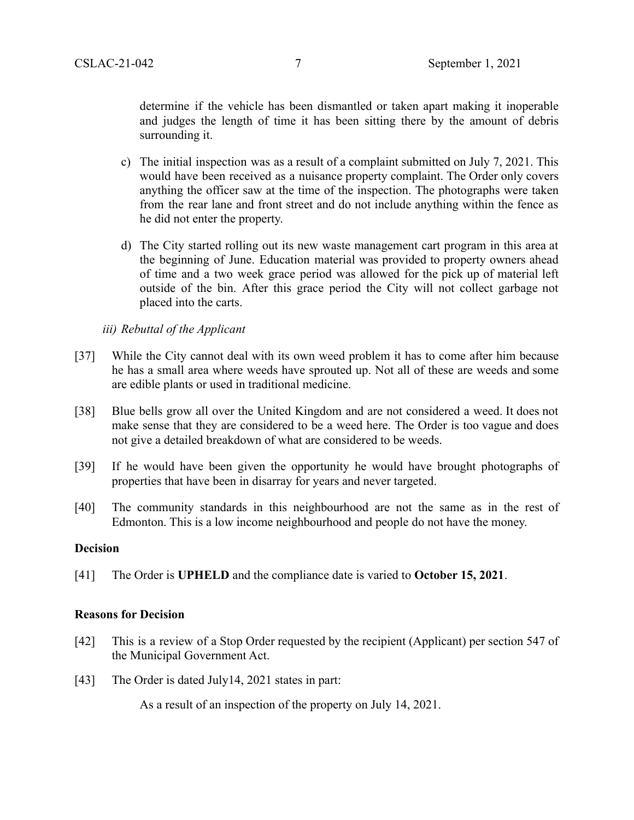determine if the vehicle has been dismantled or taken apart making it inoperable and judges the length of time it has been sitting there by the amount of debris surrounding it.

- c) The initial inspection was as a result of a complaint submitted on July 7, 2021. This would have been received as a nuisance property complaint. The Order only covers anything the officer saw at the time of the inspection. The photographs were taken from the rear lane and front street and do not include anything within the fence as he did not enter the property.
- d) The City started rolling out its new waste management cart program in this area at the beginning of June. Education material was provided to property owners ahead of time and a two week grace period was allowed for the pick up of material left outside of the bin. After this grace period the City will not collect garbage not placed into the carts.

### *iii) Rebuttal of the Applicant*

- [37] While the City cannot deal with its own weed problem it has to come after him because he has a small area where weeds have sprouted up. Not all of these are weeds and some are edible plants or used in traditional medicine.
- [38] Blue bells grow all over the United Kingdom and are not considered a weed. It does not make sense that they are considered to be a weed here. The Order is too vague and does not give a detailed breakdown of what are considered to be weeds.
- [39] If he would have been given the opportunity he would have brought photographs of properties that have been in disarray for years and never targeted.
- [40] The community standards in this neighbourhood are not the same as in the rest of Edmonton. This is a low income neighbourhood and people do not have the money.

### **Decision**

[41] The Order is **UPHELD** and the compliance date is varied to **October 15, 2021**.

### **Reasons for Decision**

- [42] This is a review of a Stop Order requested by the recipient (Applicant) per section 547 of the Municipal Government Act.
- [43] The Order is dated July14, 2021 states in part:

As a result of an inspection of the property on July 14, 2021.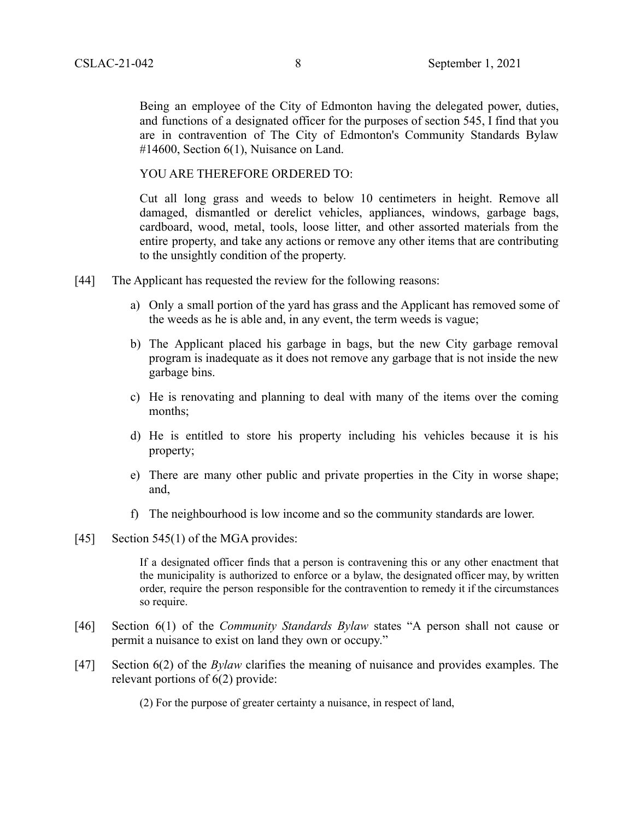Being an employee of the City of Edmonton having the delegated power, duties, and functions of a designated officer for the purposes of section 545, I find that you are in contravention of The City of Edmonton's Community Standards Bylaw #14600, Section 6(1), Nuisance on Land.

YOU ARE THEREFORE ORDERED TO:

Cut all long grass and weeds to below 10 centimeters in height. Remove all damaged, dismantled or derelict vehicles, appliances, windows, garbage bags, cardboard, wood, metal, tools, loose litter, and other assorted materials from the entire property, and take any actions or remove any other items that are contributing to the unsightly condition of the property.

- [44] The Applicant has requested the review for the following reasons:
	- a) Only a small portion of the yard has grass and the Applicant has removed some of the weeds as he is able and, in any event, the term weeds is vague;
	- b) The Applicant placed his garbage in bags, but the new City garbage removal program is inadequate as it does not remove any garbage that is not inside the new garbage bins.
	- c) He is renovating and planning to deal with many of the items over the coming months;
	- d) He is entitled to store his property including his vehicles because it is his property;
	- e) There are many other public and private properties in the City in worse shape; and,
	- f) The neighbourhood is low income and so the community standards are lower.
- [45] Section 545(1) of the MGA provides:

If a designated officer finds that a person is contravening this or any other enactment that the municipality is authorized to enforce or a bylaw, the designated officer may, by written order, require the person responsible for the contravention to remedy it if the circumstances so require.

- [46] Section 6(1) of the *Community Standards Bylaw* states "A person shall not cause or permit a nuisance to exist on land they own or occupy."
- [47] Section 6(2) of the *Bylaw* clarifies the meaning of nuisance and provides examples. The relevant portions of 6(2) provide:

(2) For the purpose of greater certainty a nuisance, in respect of land,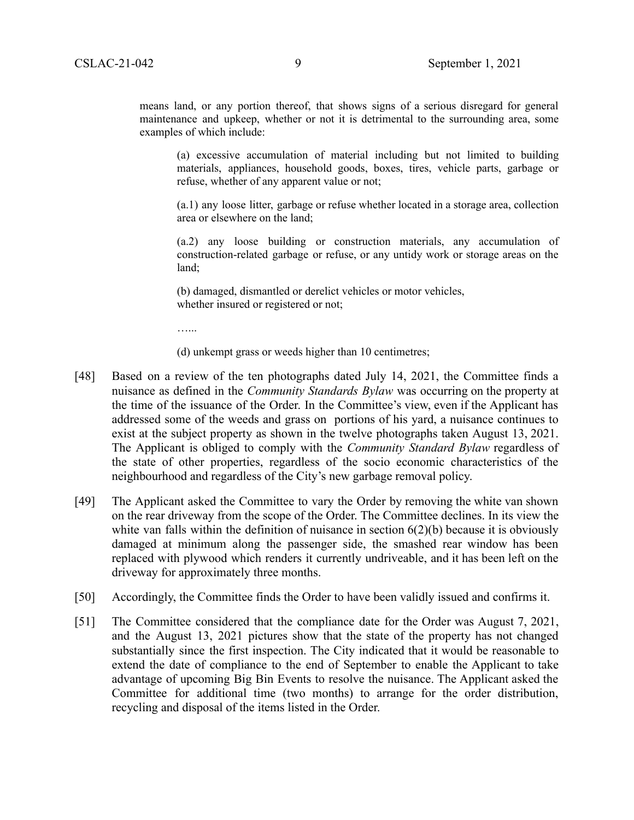means land, or any portion thereof, that shows signs of a serious disregard for general maintenance and upkeep, whether or not it is detrimental to the surrounding area, some examples of which include:

(a) excessive accumulation of material including but not limited to building materials, appliances, household goods, boxes, tires, vehicle parts, garbage or refuse, whether of any apparent value or not;

(a.1) any loose litter, garbage or refuse whether located in a storage area, collection area or elsewhere on the land;

(a.2) any loose building or construction materials, any accumulation of construction-related garbage or refuse, or any untidy work or storage areas on the land;

(b) damaged, dismantled or derelict vehicles or motor vehicles, whether insured or registered or not;

…...

(d) unkempt grass or weeds higher than 10 centimetres;

- [48] Based on a review of the ten photographs dated July 14, 2021, the Committee finds a nuisance as defined in the *Community Standards Bylaw* was occurring on the property at the time of the issuance of the Order. In the Committee's view, even if the Applicant has addressed some of the weeds and grass on portions of his yard, a nuisance continues to exist at the subject property as shown in the twelve photographs taken August 13, 2021. The Applicant is obliged to comply with the *Community Standard Bylaw* regardless of the state of other properties, regardless of the socio economic characteristics of the neighbourhood and regardless of the City's new garbage removal policy.
- [49] The Applicant asked the Committee to vary the Order by removing the white van shown on the rear driveway from the scope of the Order. The Committee declines. In its view the white van falls within the definition of nuisance in section  $6(2)(b)$  because it is obviously damaged at minimum along the passenger side, the smashed rear window has been replaced with plywood which renders it currently undriveable, and it has been left on the driveway for approximately three months.
- [50] Accordingly, the Committee finds the Order to have been validly issued and confirms it.
- [51] The Committee considered that the compliance date for the Order was August 7, 2021, and the August 13, 2021 pictures show that the state of the property has not changed substantially since the first inspection. The City indicated that it would be reasonable to extend the date of compliance to the end of September to enable the Applicant to take advantage of upcoming Big Bin Events to resolve the nuisance. The Applicant asked the Committee for additional time (two months) to arrange for the order distribution, recycling and disposal of the items listed in the Order.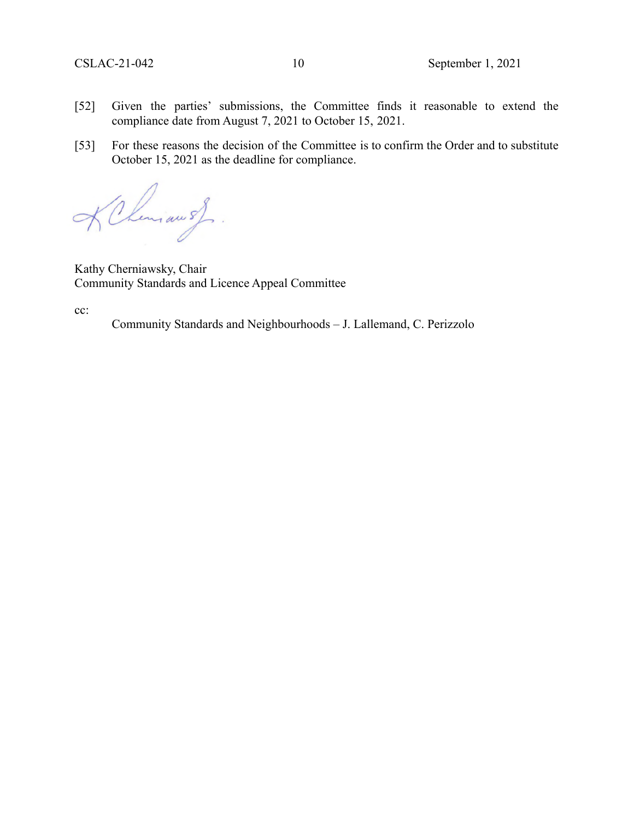- [52] Given the parties' submissions, the Committee finds it reasonable to extend the compliance date from August 7, 2021 to October 15, 2021.
- [53] For these reasons the decision of the Committee is to confirm the Order and to substitute October 15, 2021 as the deadline for compliance.

Chimianos

Kathy Cherniawsky, Chair Community Standards and Licence Appeal Committee

cc:

Community Standards and Neighbourhoods – J. Lallemand, C. Perizzolo